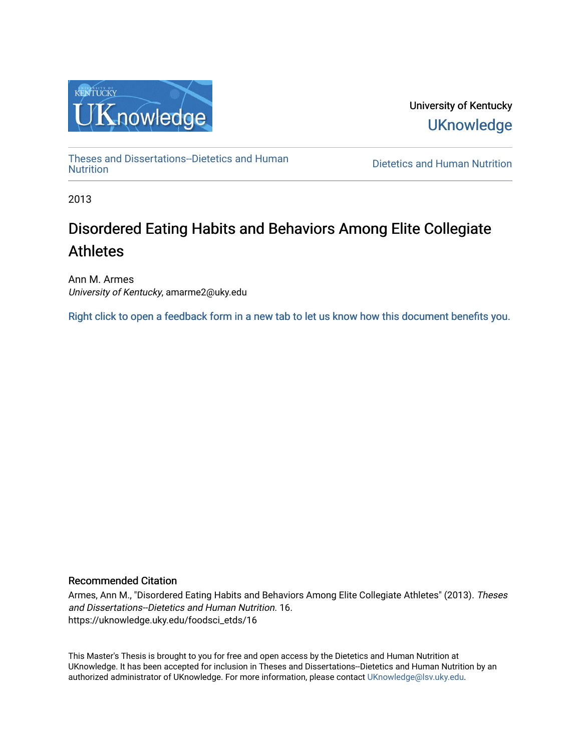

University of Kentucky **UKnowledge** 

[Theses and Dissertations--Dietetics and Human](https://uknowledge.uky.edu/foodsci_etds)

**Dietetics and Human [Nutrition](https://uknowledge.uky.edu/foodsci_etds)** 

2013

# Disordered Eating Habits and Behaviors Among Elite Collegiate Athletes

Ann M. Armes University of Kentucky, amarme2@uky.edu

[Right click to open a feedback form in a new tab to let us know how this document benefits you.](https://uky.az1.qualtrics.com/jfe/form/SV_9mq8fx2GnONRfz7)

#### Recommended Citation

Armes, Ann M., "Disordered Eating Habits and Behaviors Among Elite Collegiate Athletes" (2013). Theses and Dissertations--Dietetics and Human Nutrition. 16. https://uknowledge.uky.edu/foodsci\_etds/16

This Master's Thesis is brought to you for free and open access by the Dietetics and Human Nutrition at UKnowledge. It has been accepted for inclusion in Theses and Dissertations--Dietetics and Human Nutrition by an authorized administrator of UKnowledge. For more information, please contact [UKnowledge@lsv.uky.edu](mailto:UKnowledge@lsv.uky.edu).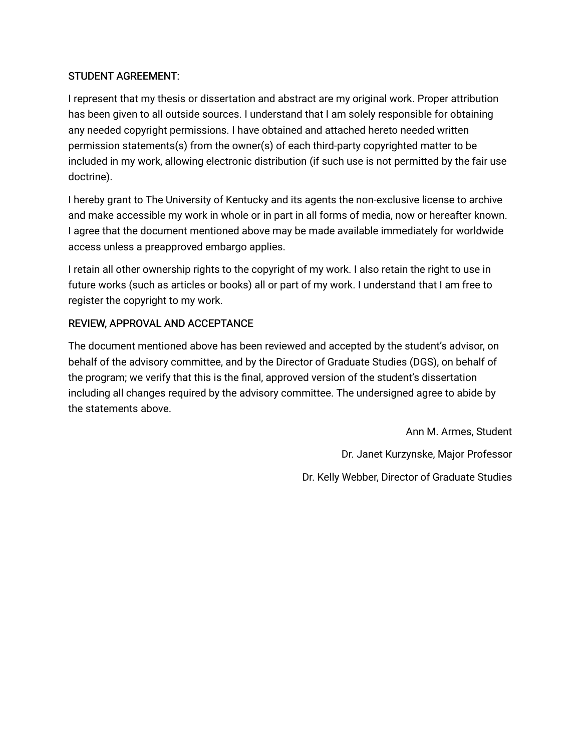### STUDENT AGREEMENT:

I represent that my thesis or dissertation and abstract are my original work. Proper attribution has been given to all outside sources. I understand that I am solely responsible for obtaining any needed copyright permissions. I have obtained and attached hereto needed written permission statements(s) from the owner(s) of each third-party copyrighted matter to be included in my work, allowing electronic distribution (if such use is not permitted by the fair use doctrine).

I hereby grant to The University of Kentucky and its agents the non-exclusive license to archive and make accessible my work in whole or in part in all forms of media, now or hereafter known. I agree that the document mentioned above may be made available immediately for worldwide access unless a preapproved embargo applies.

I retain all other ownership rights to the copyright of my work. I also retain the right to use in future works (such as articles or books) all or part of my work. I understand that I am free to register the copyright to my work.

## REVIEW, APPROVAL AND ACCEPTANCE

The document mentioned above has been reviewed and accepted by the student's advisor, on behalf of the advisory committee, and by the Director of Graduate Studies (DGS), on behalf of the program; we verify that this is the final, approved version of the student's dissertation including all changes required by the advisory committee. The undersigned agree to abide by the statements above.

> Ann M. Armes, Student Dr. Janet Kurzynske, Major Professor Dr. Kelly Webber, Director of Graduate Studies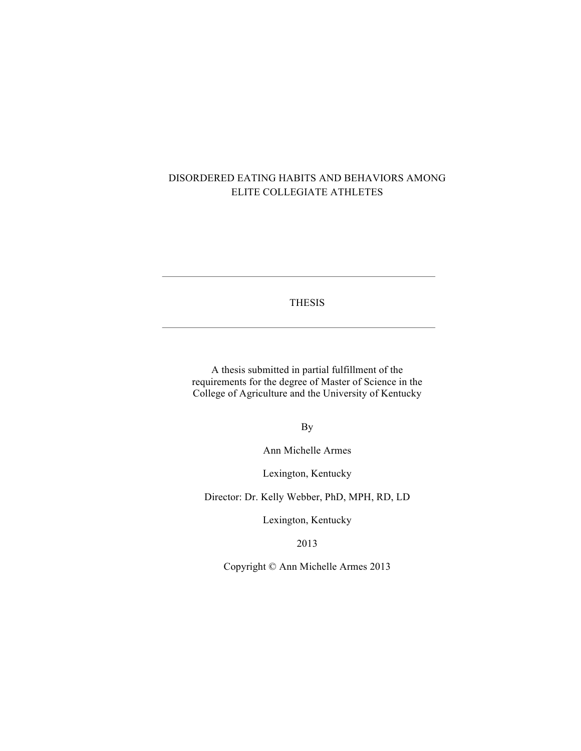### DISORDERED EATING HABITS AND BEHAVIORS AMONG ELITE COLLEGIATE ATHLETES

#### THESIS

A thesis submitted in partial fulfillment of the requirements for the degree of Master of Science in the College of Agriculture and the University of Kentucky

By

Ann Michelle Armes

Lexington, Kentucky

Director: Dr. Kelly Webber, PhD, MPH, RD, LD

Lexington, Kentucky

2013

Copyright © Ann Michelle Armes 2013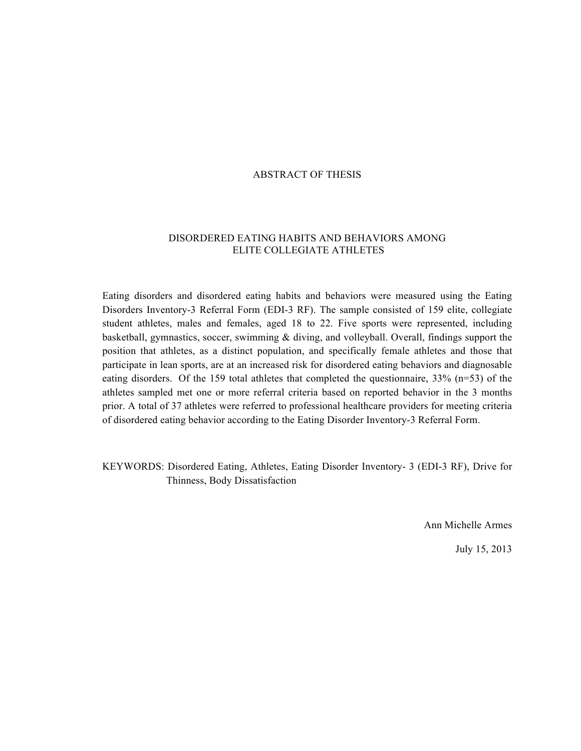#### ABSTRACT OF THESIS

#### DISORDERED EATING HABITS AND BEHAVIORS AMONG ELITE COLLEGIATE ATHLETES

Eating disorders and disordered eating habits and behaviors were measured using the Eating Disorders Inventory-3 Referral Form (EDI-3 RF). The sample consisted of 159 elite, collegiate student athletes, males and females, aged 18 to 22. Five sports were represented, including basketball, gymnastics, soccer, swimming & diving, and volleyball. Overall, findings support the position that athletes, as a distinct population, and specifically female athletes and those that participate in lean sports, are at an increased risk for disordered eating behaviors and diagnosable eating disorders. Of the 159 total athletes that completed the questionnaire, 33% (n=53) of the athletes sampled met one or more referral criteria based on reported behavior in the 3 months prior. A total of 37 athletes were referred to professional healthcare providers for meeting criteria of disordered eating behavior according to the Eating Disorder Inventory-3 Referral Form.

KEYWORDS: Disordered Eating, Athletes, Eating Disorder Inventory- 3 (EDI-3 RF), Drive for Thinness, Body Dissatisfaction

Ann Michelle Armes

July 15, 2013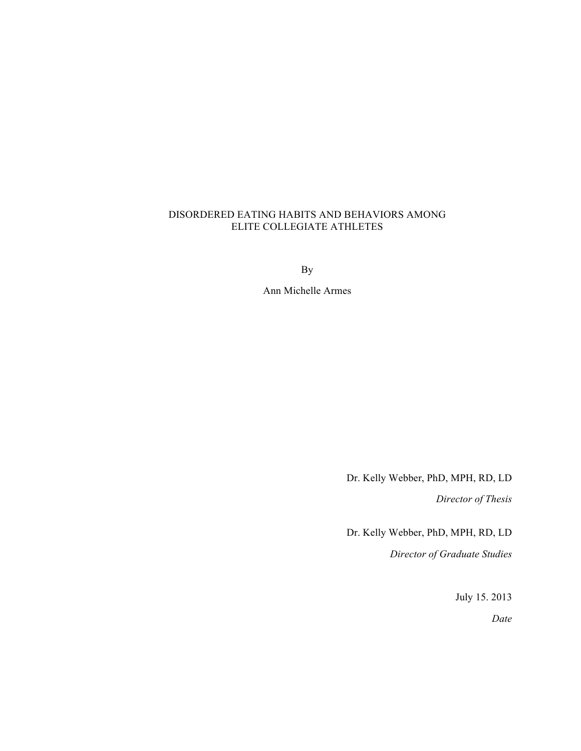#### DISORDERED EATING HABITS AND BEHAVIORS AMONG ELITE COLLEGIATE ATHLETES

By

Ann Michelle Armes

Dr. Kelly Webber, PhD, MPH, RD, LD

*Director of Thesis*

Dr. Kelly Webber, PhD, MPH, RD, LD

*Director of Graduate Studies*

July 15. 2013

*Date*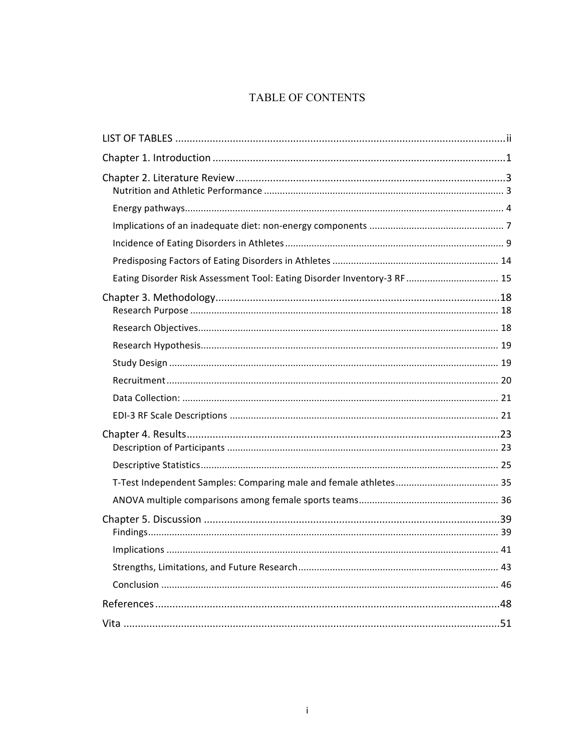## TABLE OF CONTENTS

| Eating Disorder Risk Assessment Tool: Eating Disorder Inventory-3 RF  15 |
|--------------------------------------------------------------------------|
|                                                                          |
|                                                                          |
|                                                                          |
|                                                                          |
|                                                                          |
|                                                                          |
|                                                                          |
|                                                                          |
|                                                                          |
|                                                                          |
|                                                                          |
|                                                                          |
|                                                                          |
|                                                                          |
|                                                                          |
|                                                                          |
|                                                                          |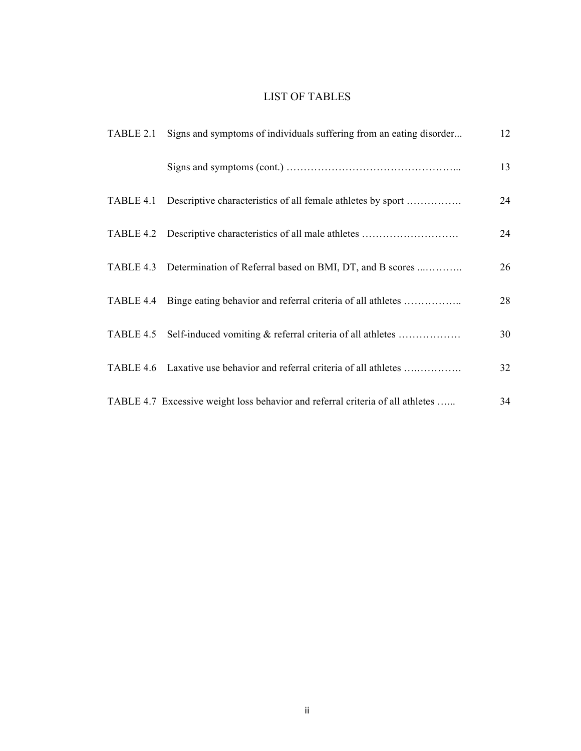## LIST OF TABLES

| TABLE 2.1 Signs and symptoms of individuals suffering from an eating disorder  | 12 |
|--------------------------------------------------------------------------------|----|
|                                                                                | 13 |
| TABLE 4.1 Descriptive characteristics of all female athletes by sport          | 24 |
|                                                                                | 24 |
| TABLE 4.3 Determination of Referral based on BMI, DT, and B scores             | 26 |
| TABLE 4.4 Binge eating behavior and referral criteria of all athletes          | 28 |
| TABLE 4.5 Self-induced vomiting & referral criteria of all athletes            | 30 |
| TABLE 4.6 Laxative use behavior and referral criteria of all athletes          | 32 |
| TABLE 4.7 Excessive weight loss behavior and referral criteria of all athletes | 34 |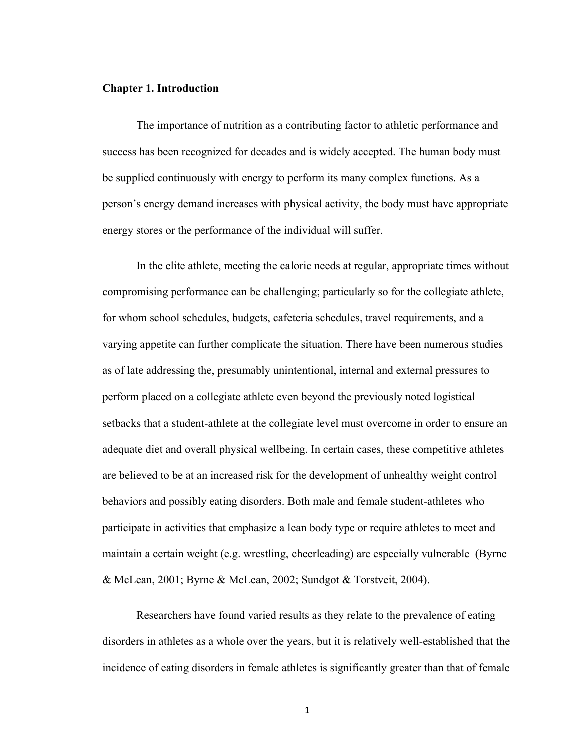#### **Chapter 1. Introduction**

The importance of nutrition as a contributing factor to athletic performance and success has been recognized for decades and is widely accepted. The human body must be supplied continuously with energy to perform its many complex functions. As a person's energy demand increases with physical activity, the body must have appropriate energy stores or the performance of the individual will suffer.

In the elite athlete, meeting the caloric needs at regular, appropriate times without compromising performance can be challenging; particularly so for the collegiate athlete, for whom school schedules, budgets, cafeteria schedules, travel requirements, and a varying appetite can further complicate the situation. There have been numerous studies as of late addressing the, presumably unintentional, internal and external pressures to perform placed on a collegiate athlete even beyond the previously noted logistical setbacks that a student-athlete at the collegiate level must overcome in order to ensure an adequate diet and overall physical wellbeing. In certain cases, these competitive athletes are believed to be at an increased risk for the development of unhealthy weight control behaviors and possibly eating disorders. Both male and female student-athletes who participate in activities that emphasize a lean body type or require athletes to meet and maintain a certain weight (e.g. wrestling, cheerleading) are especially vulnerable (Byrne & McLean, 2001; Byrne & McLean, 2002; Sundgot & Torstveit, 2004).

Researchers have found varied results as they relate to the prevalence of eating disorders in athletes as a whole over the years, but it is relatively well-established that the incidence of eating disorders in female athletes is significantly greater than that of female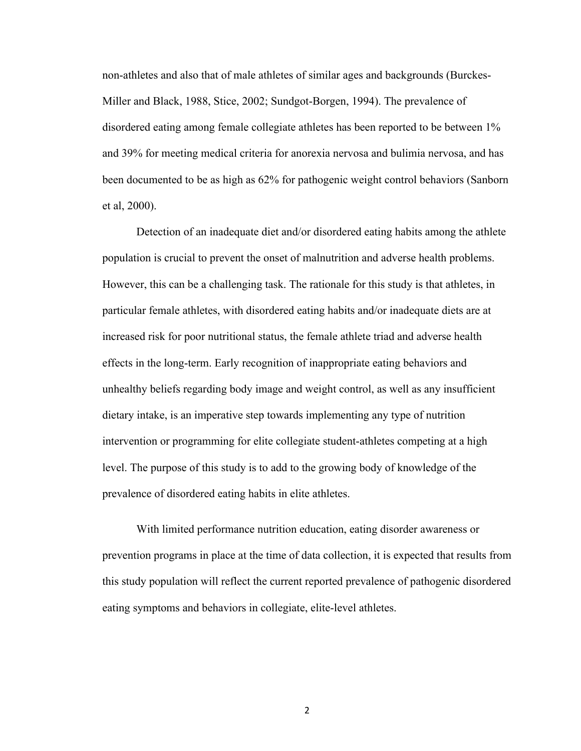non-athletes and also that of male athletes of similar ages and backgrounds (Burckes-Miller and Black, 1988, Stice, 2002; Sundgot-Borgen, 1994). The prevalence of disordered eating among female collegiate athletes has been reported to be between 1% and 39% for meeting medical criteria for anorexia nervosa and bulimia nervosa, and has been documented to be as high as 62% for pathogenic weight control behaviors (Sanborn et al, 2000).

Detection of an inadequate diet and/or disordered eating habits among the athlete population is crucial to prevent the onset of malnutrition and adverse health problems. However, this can be a challenging task. The rationale for this study is that athletes, in particular female athletes, with disordered eating habits and/or inadequate diets are at increased risk for poor nutritional status, the female athlete triad and adverse health effects in the long-term. Early recognition of inappropriate eating behaviors and unhealthy beliefs regarding body image and weight control, as well as any insufficient dietary intake, is an imperative step towards implementing any type of nutrition intervention or programming for elite collegiate student-athletes competing at a high level. The purpose of this study is to add to the growing body of knowledge of the prevalence of disordered eating habits in elite athletes.

With limited performance nutrition education, eating disorder awareness or prevention programs in place at the time of data collection, it is expected that results from this study population will reflect the current reported prevalence of pathogenic disordered eating symptoms and behaviors in collegiate, elite-level athletes.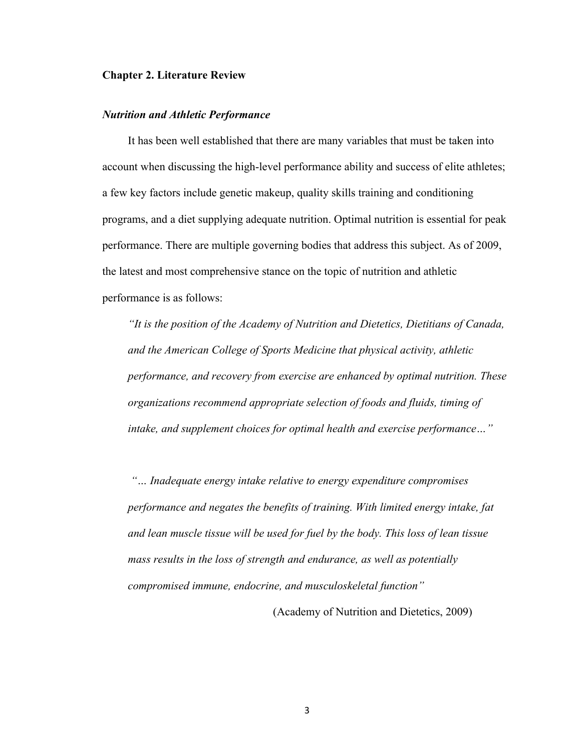#### **Chapter 2. Literature Review**

#### *Nutrition and Athletic Performance*

It has been well established that there are many variables that must be taken into account when discussing the high-level performance ability and success of elite athletes; a few key factors include genetic makeup, quality skills training and conditioning programs, and a diet supplying adequate nutrition. Optimal nutrition is essential for peak performance. There are multiple governing bodies that address this subject. As of 2009, the latest and most comprehensive stance on the topic of nutrition and athletic performance is as follows:

*"It is the position of the Academy of Nutrition and Dietetics, Dietitians of Canada, and the American College of Sports Medicine that physical activity, athletic performance, and recovery from exercise are enhanced by optimal nutrition. These organizations recommend appropriate selection of foods and fluids, timing of intake, and supplement choices for optimal health and exercise performance…"*

*"… Inadequate energy intake relative to energy expenditure compromises performance and negates the benefits of training. With limited energy intake, fat and lean muscle tissue will be used for fuel by the body. This loss of lean tissue mass results in the loss of strength and endurance, as well as potentially compromised immune, endocrine, and musculoskeletal function"*

(Academy of Nutrition and Dietetics, 2009)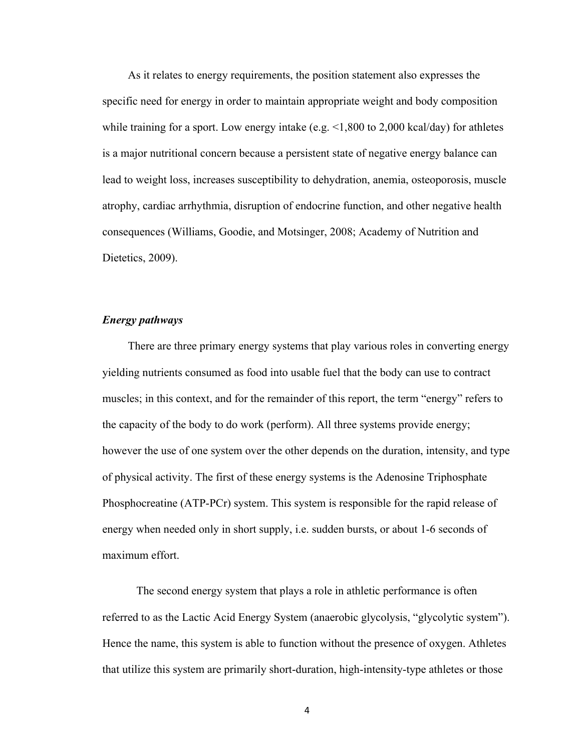As it relates to energy requirements, the position statement also expresses the specific need for energy in order to maintain appropriate weight and body composition while training for a sport. Low energy intake (e.g.  $\leq 1,800$  to 2,000 kcal/day) for athletes is a major nutritional concern because a persistent state of negative energy balance can lead to weight loss, increases susceptibility to dehydration, anemia, osteoporosis, muscle atrophy, cardiac arrhythmia, disruption of endocrine function, and other negative health consequences (Williams, Goodie, and Motsinger, 2008; Academy of Nutrition and Dietetics, 2009).

#### *Energy pathways*

There are three primary energy systems that play various roles in converting energy yielding nutrients consumed as food into usable fuel that the body can use to contract muscles; in this context, and for the remainder of this report, the term "energy" refers to the capacity of the body to do work (perform). All three systems provide energy; however the use of one system over the other depends on the duration, intensity, and type of physical activity. The first of these energy systems is the Adenosine Triphosphate Phosphocreatine (ATP-PCr) system. This system is responsible for the rapid release of energy when needed only in short supply, i.e. sudden bursts, or about 1-6 seconds of maximum effort.

The second energy system that plays a role in athletic performance is often referred to as the Lactic Acid Energy System (anaerobic glycolysis, "glycolytic system"). Hence the name, this system is able to function without the presence of oxygen. Athletes that utilize this system are primarily short-duration, high-intensity-type athletes or those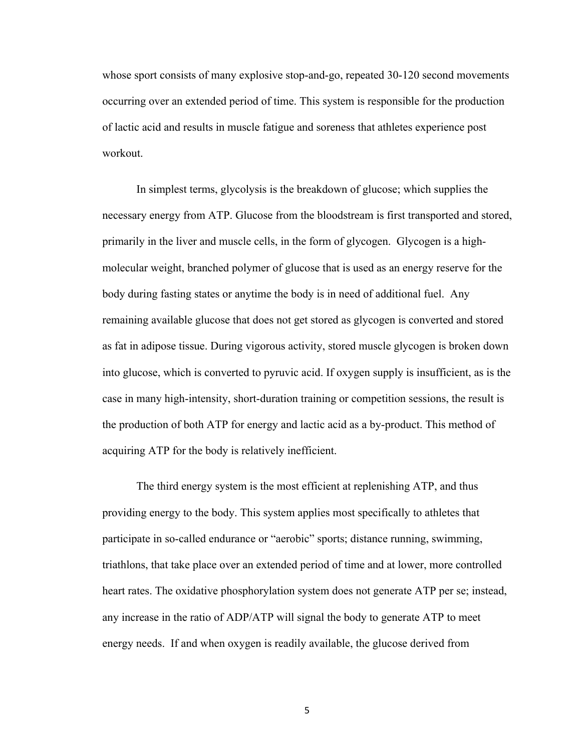whose sport consists of many explosive stop-and-go, repeated 30-120 second movements occurring over an extended period of time. This system is responsible for the production of lactic acid and results in muscle fatigue and soreness that athletes experience post workout.

In simplest terms, glycolysis is the breakdown of glucose; which supplies the necessary energy from ATP. Glucose from the bloodstream is first transported and stored, primarily in the liver and muscle cells, in the form of glycogen. Glycogen is a highmolecular weight, branched polymer of glucose that is used as an energy reserve for the body during fasting states or anytime the body is in need of additional fuel. Any remaining available glucose that does not get stored as glycogen is converted and stored as fat in adipose tissue. During vigorous activity, stored muscle glycogen is broken down into glucose, which is converted to pyruvic acid. If oxygen supply is insufficient, as is the case in many high-intensity, short-duration training or competition sessions, the result is the production of both ATP for energy and lactic acid as a by-product. This method of acquiring ATP for the body is relatively inefficient.

The third energy system is the most efficient at replenishing ATP, and thus providing energy to the body. This system applies most specifically to athletes that participate in so-called endurance or "aerobic" sports; distance running, swimming, triathlons, that take place over an extended period of time and at lower, more controlled heart rates. The oxidative phosphorylation system does not generate ATP per se; instead, any increase in the ratio of ADP/ATP will signal the body to generate ATP to meet energy needs. If and when oxygen is readily available, the glucose derived from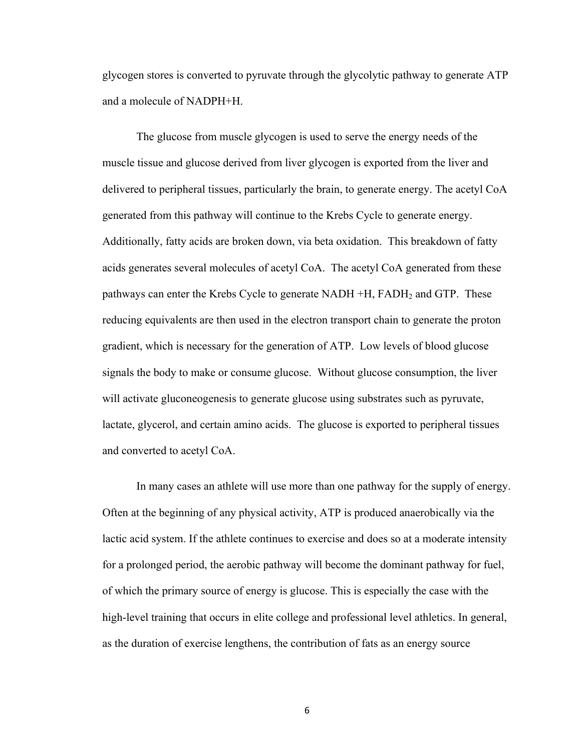glycogen stores is converted to pyruvate through the glycolytic pathway to generate ATP and a molecule of NADPH+H.

The glucose from muscle glycogen is used to serve the energy needs of the muscle tissue and glucose derived from liver glycogen is exported from the liver and delivered to peripheral tissues, particularly the brain, to generate energy. The acetyl CoA generated from this pathway will continue to the Krebs Cycle to generate energy. Additionally, fatty acids are broken down, via beta oxidation. This breakdown of fatty acids generates several molecules of acetyl CoA. The acetyl CoA generated from these pathways can enter the Krebs Cycle to generate NADH +H, FADH<sub>2</sub> and GTP. These reducing equivalents are then used in the electron transport chain to generate the proton gradient, which is necessary for the generation of ATP. Low levels of blood glucose signals the body to make or consume glucose. Without glucose consumption, the liver will activate gluconeogenesis to generate glucose using substrates such as pyruvate, lactate, glycerol, and certain amino acids. The glucose is exported to peripheral tissues and converted to acetyl CoA.

In many cases an athlete will use more than one pathway for the supply of energy. Often at the beginning of any physical activity, ATP is produced anaerobically via the lactic acid system. If the athlete continues to exercise and does so at a moderate intensity for a prolonged period, the aerobic pathway will become the dominant pathway for fuel, of which the primary source of energy is glucose. This is especially the case with the high-level training that occurs in elite college and professional level athletics. In general, as the duration of exercise lengthens, the contribution of fats as an energy source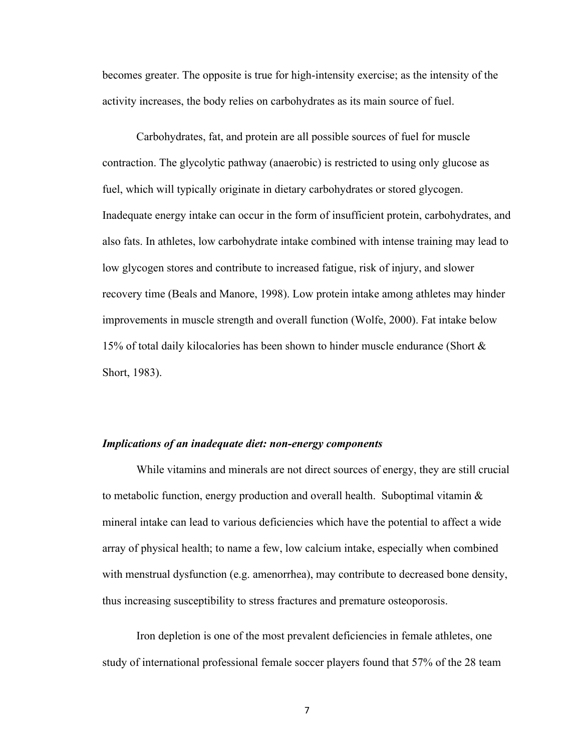becomes greater. The opposite is true for high-intensity exercise; as the intensity of the activity increases, the body relies on carbohydrates as its main source of fuel.

Carbohydrates, fat, and protein are all possible sources of fuel for muscle contraction. The glycolytic pathway (anaerobic) is restricted to using only glucose as fuel, which will typically originate in dietary carbohydrates or stored glycogen. Inadequate energy intake can occur in the form of insufficient protein, carbohydrates, and also fats. In athletes, low carbohydrate intake combined with intense training may lead to low glycogen stores and contribute to increased fatigue, risk of injury, and slower recovery time (Beals and Manore, 1998). Low protein intake among athletes may hinder improvements in muscle strength and overall function (Wolfe, 2000). Fat intake below 15% of total daily kilocalories has been shown to hinder muscle endurance (Short & Short, 1983).

#### *Implications of an inadequate diet: non-energy components*

While vitamins and minerals are not direct sources of energy, they are still crucial to metabolic function, energy production and overall health. Suboptimal vitamin  $\&$ mineral intake can lead to various deficiencies which have the potential to affect a wide array of physical health; to name a few, low calcium intake, especially when combined with menstrual dysfunction (e.g. amenorrhea), may contribute to decreased bone density, thus increasing susceptibility to stress fractures and premature osteoporosis.

Iron depletion is one of the most prevalent deficiencies in female athletes, one study of international professional female soccer players found that 57% of the 28 team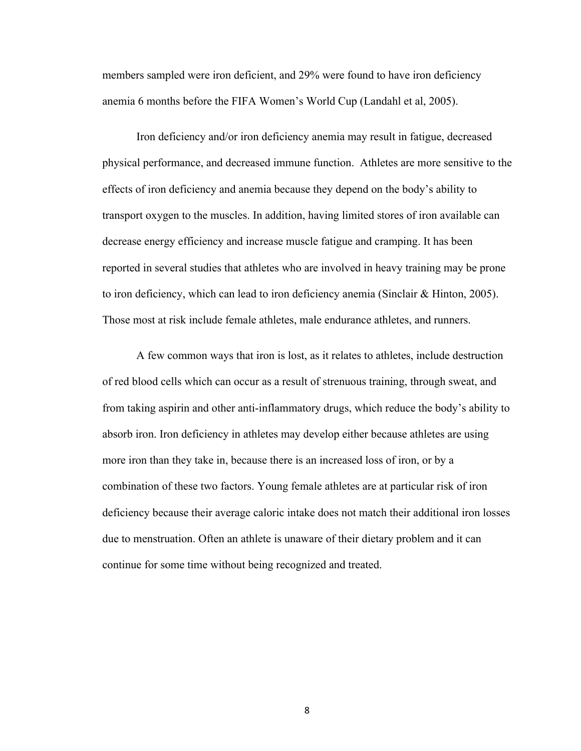members sampled were iron deficient, and 29% were found to have iron deficiency anemia 6 months before the FIFA Women's World Cup (Landahl et al, 2005).

Iron deficiency and/or iron deficiency anemia may result in fatigue, decreased physical performance, and decreased immune function. Athletes are more sensitive to the effects of iron deficiency and anemia because they depend on the body's ability to transport oxygen to the muscles. In addition, having limited stores of iron available can decrease energy efficiency and increase muscle fatigue and cramping. It has been reported in several studies that athletes who are involved in heavy training may be prone to iron deficiency, which can lead to iron deficiency anemia (Sinclair & Hinton, 2005). Those most at risk include female athletes, male endurance athletes, and runners.

A few common ways that iron is lost, as it relates to athletes, include destruction of red blood cells which can occur as a result of strenuous training, through sweat, and from taking aspirin and other anti-inflammatory drugs, which reduce the body's ability to absorb iron. Iron deficiency in athletes may develop either because athletes are using more iron than they take in, because there is an increased loss of iron, or by a combination of these two factors. Young female athletes are at particular risk of iron deficiency because their average caloric intake does not match their additional iron losses due to menstruation. Often an athlete is unaware of their dietary problem and it can continue for some time without being recognized and treated.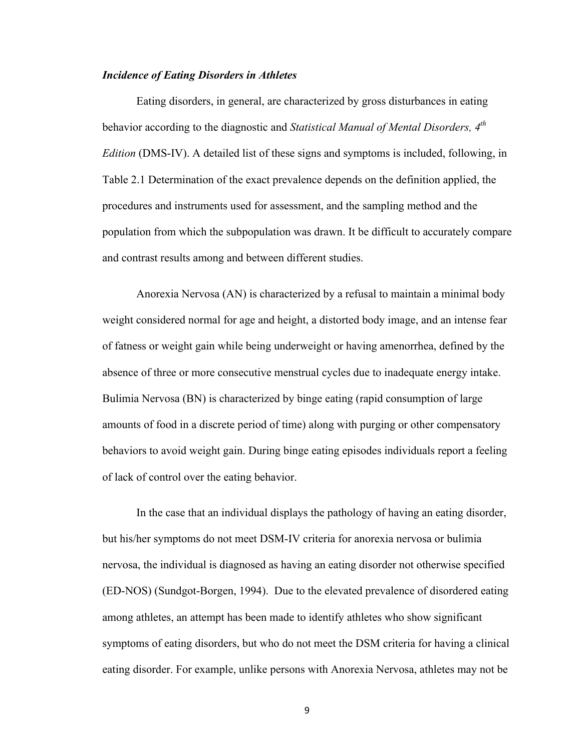#### *Incidence of Eating Disorders in Athletes*

Eating disorders, in general, are characterized by gross disturbances in eating behavior according to the diagnostic and *Statistical Manual of Mental Disorders, 4th Edition* (DMS-IV). A detailed list of these signs and symptoms is included, following, in Table 2.1 Determination of the exact prevalence depends on the definition applied, the procedures and instruments used for assessment, and the sampling method and the population from which the subpopulation was drawn. It be difficult to accurately compare and contrast results among and between different studies.

Anorexia Nervosa (AN) is characterized by a refusal to maintain a minimal body weight considered normal for age and height, a distorted body image, and an intense fear of fatness or weight gain while being underweight or having amenorrhea, defined by the absence of three or more consecutive menstrual cycles due to inadequate energy intake. Bulimia Nervosa (BN) is characterized by binge eating (rapid consumption of large amounts of food in a discrete period of time) along with purging or other compensatory behaviors to avoid weight gain. During binge eating episodes individuals report a feeling of lack of control over the eating behavior.

In the case that an individual displays the pathology of having an eating disorder, but his/her symptoms do not meet DSM-IV criteria for anorexia nervosa or bulimia nervosa, the individual is diagnosed as having an eating disorder not otherwise specified (ED-NOS) (Sundgot-Borgen, 1994). Due to the elevated prevalence of disordered eating among athletes, an attempt has been made to identify athletes who show significant symptoms of eating disorders, but who do not meet the DSM criteria for having a clinical eating disorder. For example, unlike persons with Anorexia Nervosa, athletes may not be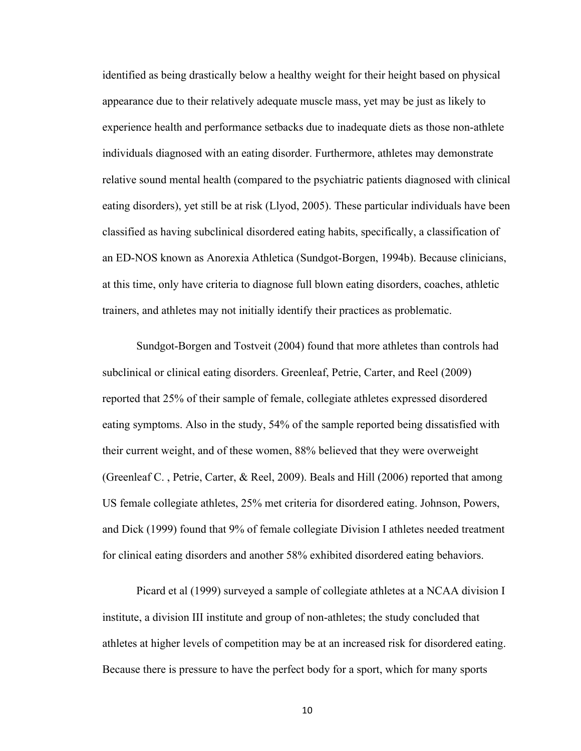identified as being drastically below a healthy weight for their height based on physical appearance due to their relatively adequate muscle mass, yet may be just as likely to experience health and performance setbacks due to inadequate diets as those non-athlete individuals diagnosed with an eating disorder. Furthermore, athletes may demonstrate relative sound mental health (compared to the psychiatric patients diagnosed with clinical eating disorders), yet still be at risk (Llyod, 2005). These particular individuals have been classified as having subclinical disordered eating habits, specifically, a classification of an ED-NOS known as Anorexia Athletica (Sundgot-Borgen, 1994b). Because clinicians, at this time, only have criteria to diagnose full blown eating disorders, coaches, athletic trainers, and athletes may not initially identify their practices as problematic.

Sundgot-Borgen and Tostveit (2004) found that more athletes than controls had subclinical or clinical eating disorders. Greenleaf, Petrie, Carter, and Reel (2009) reported that 25% of their sample of female, collegiate athletes expressed disordered eating symptoms. Also in the study, 54% of the sample reported being dissatisfied with their current weight, and of these women, 88% believed that they were overweight (Greenleaf C. , Petrie, Carter, & Reel, 2009). Beals and Hill (2006) reported that among US female collegiate athletes, 25% met criteria for disordered eating. Johnson, Powers, and Dick (1999) found that 9% of female collegiate Division I athletes needed treatment for clinical eating disorders and another 58% exhibited disordered eating behaviors.

Picard et al (1999) surveyed a sample of collegiate athletes at a NCAA division I institute, a division III institute and group of non-athletes; the study concluded that athletes at higher levels of competition may be at an increased risk for disordered eating. Because there is pressure to have the perfect body for a sport, which for many sports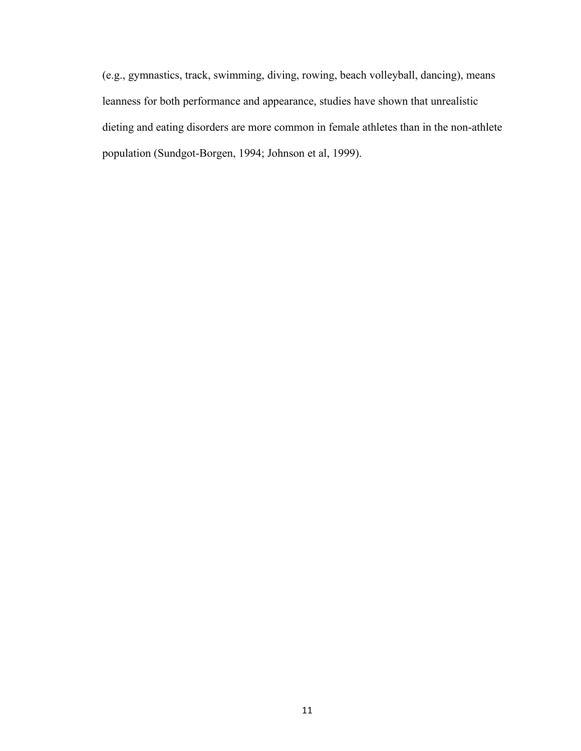(e.g., gymnastics, track, swimming, diving, rowing, beach volleyball, dancing), means leanness for both performance and appearance, studies have shown that unrealistic dieting and eating disorders are more common in female athletes than in the non-athlete population (Sundgot-Borgen, 1994; Johnson et al, 1999).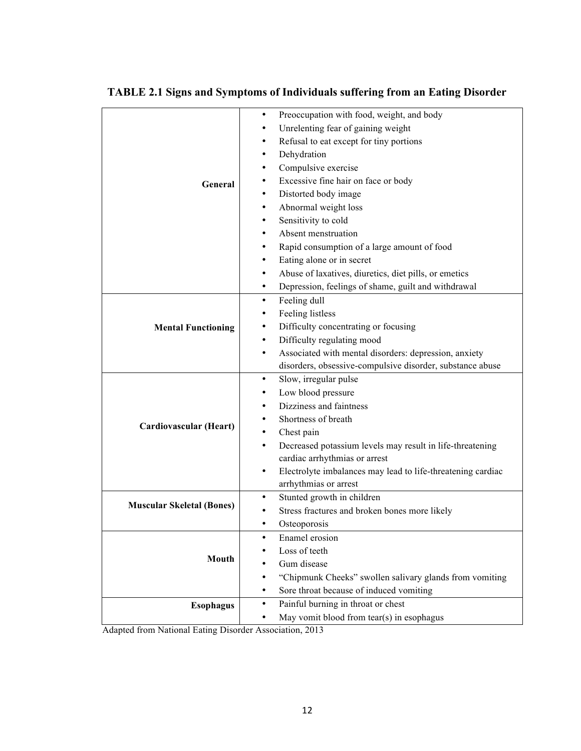|                                  | Preoccupation with food, weight, and body<br>$\bullet$                   |
|----------------------------------|--------------------------------------------------------------------------|
|                                  | Unrelenting fear of gaining weight<br>٠                                  |
|                                  | Refusal to eat except for tiny portions<br>٠                             |
|                                  | Dehydration<br>٠                                                         |
|                                  | Compulsive exercise<br>٠                                                 |
| General                          | Excessive fine hair on face or body                                      |
|                                  | Distorted body image<br>٠                                                |
|                                  | Abnormal weight loss<br>٠                                                |
|                                  | Sensitivity to cold                                                      |
|                                  | Absent menstruation                                                      |
|                                  | Rapid consumption of a large amount of food                              |
|                                  | Eating alone or in secret                                                |
|                                  | Abuse of laxatives, diuretics, diet pills, or emetics<br>٠               |
|                                  | Depression, feelings of shame, guilt and withdrawal<br>٠                 |
|                                  | Feeling dull<br>٠                                                        |
|                                  | Feeling listless<br>٠                                                    |
| <b>Mental Functioning</b>        | Difficulty concentrating or focusing<br>٠                                |
|                                  | Difficulty regulating mood<br>٠                                          |
|                                  | Associated with mental disorders: depression, anxiety<br>٠               |
|                                  | disorders, obsessive-compulsive disorder, substance abuse                |
|                                  | Slow, irregular pulse<br>٠                                               |
|                                  | Low blood pressure<br>٠                                                  |
|                                  | Dizziness and faintness<br>٠                                             |
|                                  | Shortness of breath                                                      |
| Cardiovascular (Heart)           | Chest pain                                                               |
|                                  | Decreased potassium levels may result in life-threatening<br>٠           |
|                                  | cardiac arrhythmias or arrest                                            |
|                                  | Electrolyte imbalances may lead to life-threatening cardiac<br>$\bullet$ |
|                                  | arrhythmias or arrest                                                    |
|                                  | Stunted growth in children<br>$\bullet$                                  |
| <b>Muscular Skeletal (Bones)</b> | Stress fractures and broken bones more likely                            |
|                                  | Osteoporosis<br>٠                                                        |
|                                  | Enamel erosion<br>٠                                                      |
|                                  | Loss of teeth                                                            |
| Mouth                            | Gum disease                                                              |
|                                  | "Chipmunk Cheeks" swollen salivary glands from vomiting<br>٠             |
|                                  | Sore throat because of induced vomiting<br>٠                             |
| <b>Esophagus</b>                 | Painful burning in throat or chest<br>$\bullet$                          |
|                                  | May vomit blood from tear(s) in esophagus<br>٠                           |

## **TABLE 2.1 Signs and Symptoms of Individuals suffering from an Eating Disorder**

Adapted from National Eating Disorder Association, 2013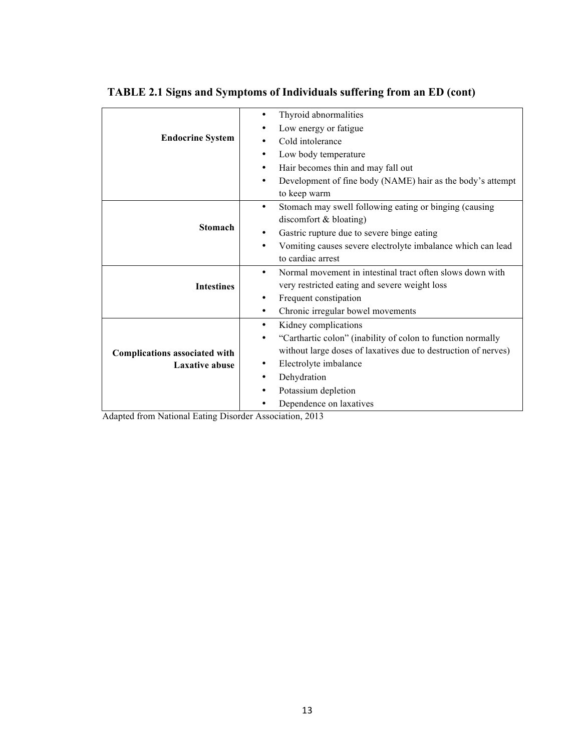|                               | Thyroid abnormalities<br>٠                                               |
|-------------------------------|--------------------------------------------------------------------------|
|                               | Low energy or fatigue                                                    |
| <b>Endocrine System</b>       | Cold intolerance                                                         |
|                               | Low body temperature<br>٠                                                |
|                               | Hair becomes thin and may fall out<br>٠                                  |
|                               | Development of fine body (NAME) hair as the body's attempt<br>٠          |
|                               | to keep warm                                                             |
|                               | Stomach may swell following eating or binging (causing<br>$\bullet$      |
|                               | discomfort & bloating)                                                   |
| <b>Stomach</b>                | Gastric rupture due to severe binge eating<br>٠                          |
|                               | Vomiting causes severe electrolyte imbalance which can lead<br>٠         |
|                               | to cardiac arrest                                                        |
|                               | Normal movement in intestinal tract often slows down with<br>$\bullet$   |
| <b>Intestines</b>             | very restricted eating and severe weight loss                            |
|                               | Frequent constipation<br>٠                                               |
|                               | Chronic irregular bowel movements<br>٠                                   |
|                               | Kidney complications<br>٠                                                |
|                               | "Carthartic colon" (inability of colon to function normally<br>$\bullet$ |
| Complications associated with | without large doses of laxatives due to destruction of nerves)           |
| <b>Laxative abuse</b>         | Electrolyte imbalance<br>٠                                               |
|                               | Dehydration<br>٠                                                         |
|                               | Potassium depletion                                                      |
|                               | Dependence on laxatives                                                  |

## **TABLE 2.1 Signs and Symptoms of Individuals suffering from an ED (cont)**

Adapted from National Eating Disorder Association, 2013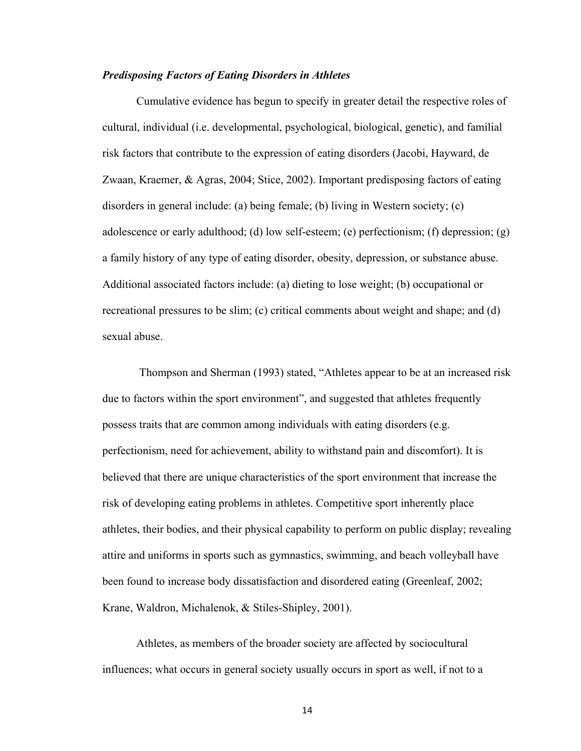#### *Predisposing Factors of Eating Disorders in Athletes*

Cumulative evidence has begun to specify in greater detail the respective roles of cultural, individual (i.e. developmental, psychological, biological, genetic), and familial risk factors that contribute to the expression of eating disorders (Jacobi, Hayward, de Zwaan, Kraemer, & Agras, 2004; Stice, 2002). Important predisposing factors of eating disorders in general include: (a) being female; (b) living in Western society; (c) adolescence or early adulthood; (d) low self-esteem; (e) perfectionism; (f) depression; (g) a family history of any type of eating disorder, obesity, depression, or substance abuse. Additional associated factors include: (a) dieting to lose weight; (b) occupational or recreational pressures to be slim; (c) critical comments about weight and shape; and (d) sexual abuse.

Thompson and Sherman (1993) stated, "Athletes appear to be at an increased risk due to factors within the sport environment", and suggested that athletes frequently possess traits that are common among individuals with eating disorders (e.g. perfectionism, need for achievement, ability to withstand pain and discomfort). It is believed that there are unique characteristics of the sport environment that increase the risk of developing eating problems in athletes. Competitive sport inherently place athletes, their bodies, and their physical capability to perform on public display; revealing attire and uniforms in sports such as gymnastics, swimming, and beach volleyball have been found to increase body dissatisfaction and disordered eating (Greenleaf, 2002; Krane, Waldron, Michalenok, & Stiles-Shipley, 2001).

Athletes, as members of the broader society are affected by sociocultural influences; what occurs in general society usually occurs in sport as well, if not to a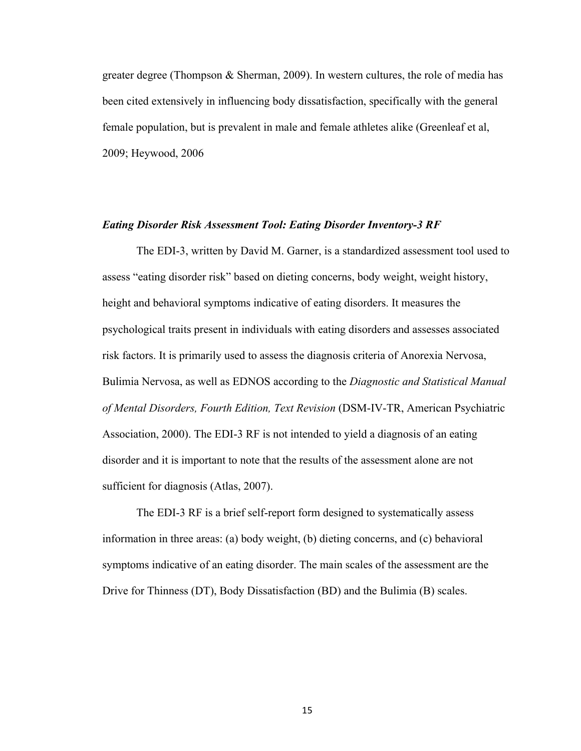greater degree (Thompson & Sherman, 2009). In western cultures, the role of media has been cited extensively in influencing body dissatisfaction, specifically with the general female population, but is prevalent in male and female athletes alike (Greenleaf et al, 2009; Heywood, 2006

#### *Eating Disorder Risk Assessment Tool: Eating Disorder Inventory-3 RF*

The EDI-3, written by David M. Garner, is a standardized assessment tool used to assess "eating disorder risk" based on dieting concerns, body weight, weight history, height and behavioral symptoms indicative of eating disorders. It measures the psychological traits present in individuals with eating disorders and assesses associated risk factors. It is primarily used to assess the diagnosis criteria of Anorexia Nervosa, Bulimia Nervosa, as well as EDNOS according to the *Diagnostic and Statistical Manual of Mental Disorders, Fourth Edition, Text Revision* (DSM-IV-TR, American Psychiatric Association, 2000). The EDI-3 RF is not intended to yield a diagnosis of an eating disorder and it is important to note that the results of the assessment alone are not sufficient for diagnosis (Atlas, 2007).

The EDI-3 RF is a brief self-report form designed to systematically assess information in three areas: (a) body weight, (b) dieting concerns, and (c) behavioral symptoms indicative of an eating disorder. The main scales of the assessment are the Drive for Thinness (DT), Body Dissatisfaction (BD) and the Bulimia (B) scales.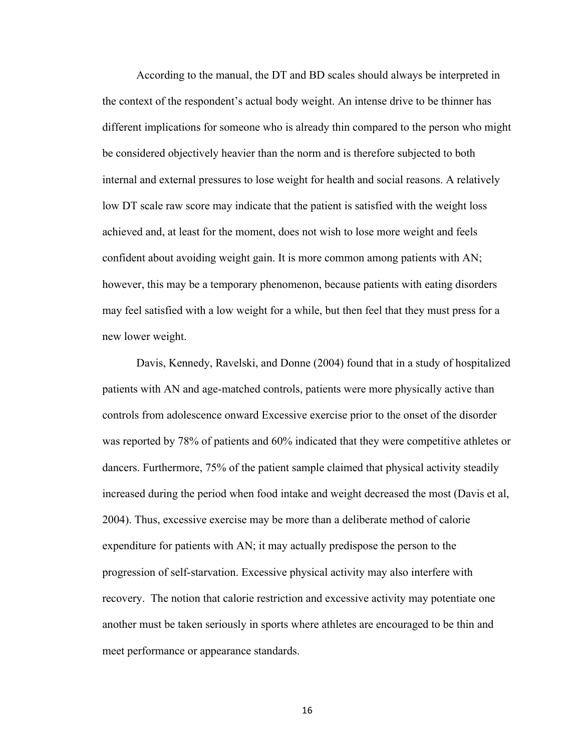According to the manual, the DT and BD scales should always be interpreted in the context of the respondent's actual body weight. An intense drive to be thinner has different implications for someone who is already thin compared to the person who might be considered objectively heavier than the norm and is therefore subjected to both internal and external pressures to lose weight for health and social reasons. A relatively low DT scale raw score may indicate that the patient is satisfied with the weight loss achieved and, at least for the moment, does not wish to lose more weight and feels confident about avoiding weight gain. It is more common among patients with AN; however, this may be a temporary phenomenon, because patients with eating disorders may feel satisfied with a low weight for a while, but then feel that they must press for a new lower weight.

Davis, Kennedy, Ravelski, and Donne (2004) found that in a study of hospitalized patients with AN and age-matched controls, patients were more physically active than controls from adolescence onward Excessive exercise prior to the onset of the disorder was reported by 78% of patients and 60% indicated that they were competitive athletes or dancers. Furthermore, 75% of the patient sample claimed that physical activity steadily increased during the period when food intake and weight decreased the most (Davis et al, 2004). Thus, excessive exercise may be more than a deliberate method of calorie expenditure for patients with AN; it may actually predispose the person to the progression of self-starvation. Excessive physical activity may also interfere with recovery. The notion that calorie restriction and excessive activity may potentiate one another must be taken seriously in sports where athletes are encouraged to be thin and meet performance or appearance standards.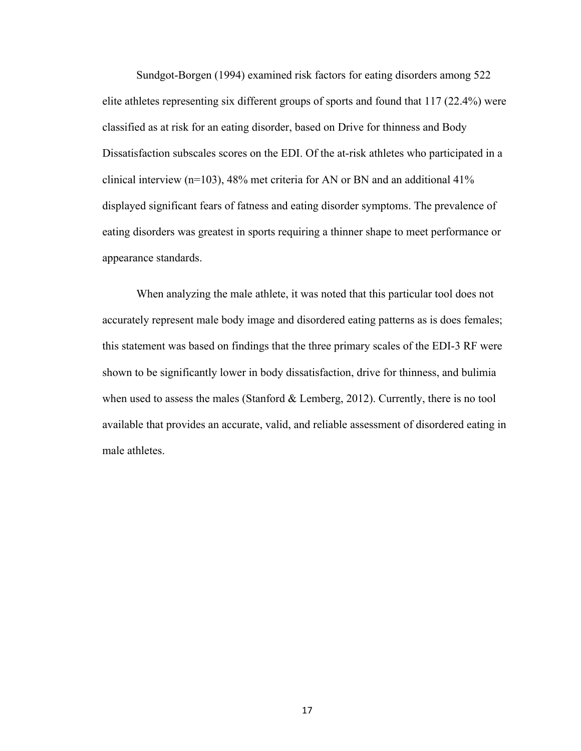Sundgot-Borgen (1994) examined risk factors for eating disorders among 522 elite athletes representing six different groups of sports and found that 117 (22.4%) were classified as at risk for an eating disorder, based on Drive for thinness and Body Dissatisfaction subscales scores on the EDI. Of the at-risk athletes who participated in a clinical interview (n=103), 48% met criteria for AN or BN and an additional 41% displayed significant fears of fatness and eating disorder symptoms. The prevalence of eating disorders was greatest in sports requiring a thinner shape to meet performance or appearance standards.

When analyzing the male athlete, it was noted that this particular tool does not accurately represent male body image and disordered eating patterns as is does females; this statement was based on findings that the three primary scales of the EDI-3 RF were shown to be significantly lower in body dissatisfaction, drive for thinness, and bulimia when used to assess the males (Stanford & Lemberg, 2012). Currently, there is no tool available that provides an accurate, valid, and reliable assessment of disordered eating in male athletes.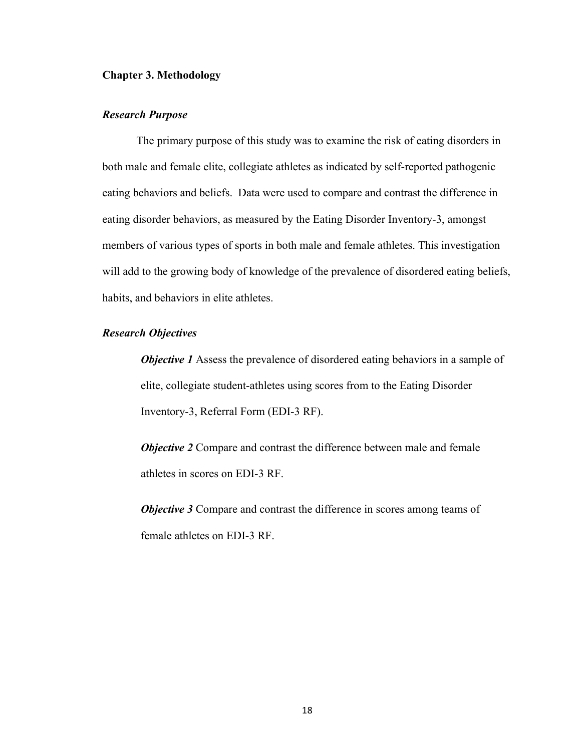#### **Chapter 3. Methodology**

#### *Research Purpose*

The primary purpose of this study was to examine the risk of eating disorders in both male and female elite, collegiate athletes as indicated by self-reported pathogenic eating behaviors and beliefs. Data were used to compare and contrast the difference in eating disorder behaviors, as measured by the Eating Disorder Inventory-3, amongst members of various types of sports in both male and female athletes. This investigation will add to the growing body of knowledge of the prevalence of disordered eating beliefs, habits, and behaviors in elite athletes.

#### *Research Objectives*

*Objective 1* Assess the prevalence of disordered eating behaviors in a sample of elite, collegiate student-athletes using scores from to the Eating Disorder Inventory-3, Referral Form (EDI-3 RF).

*Objective 2* Compare and contrast the difference between male and female athletes in scores on EDI-3 RF.

*Objective 3* Compare and contrast the difference in scores among teams of female athletes on EDI-3 RF.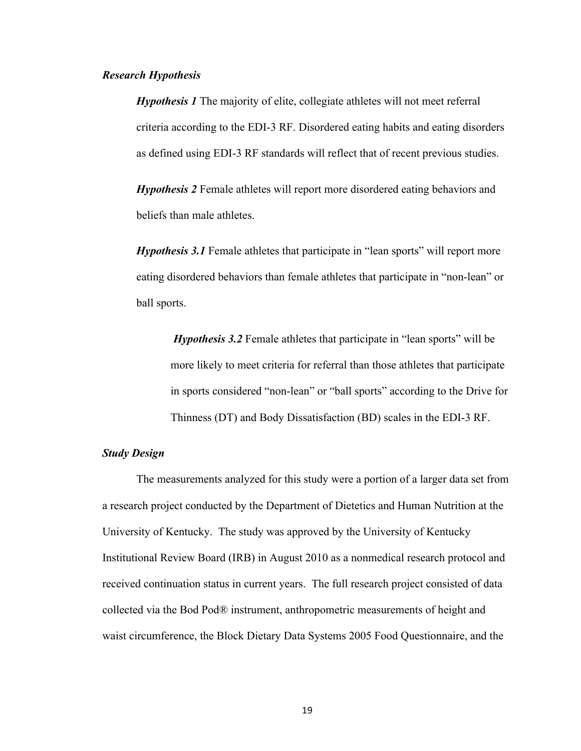#### *Research Hypothesis*

*Hypothesis 1* The majority of elite, collegiate athletes will not meet referral criteria according to the EDI-3 RF. Disordered eating habits and eating disorders as defined using EDI-3 RF standards will reflect that of recent previous studies.

*Hypothesis 2* Female athletes will report more disordered eating behaviors and beliefs than male athletes.

*Hypothesis 3.1* Female athletes that participate in "lean sports" will report more eating disordered behaviors than female athletes that participate in "non-lean" or ball sports.

*Hypothesis 3.2* Female athletes that participate in "lean sports" will be more likely to meet criteria for referral than those athletes that participate in sports considered "non-lean" or "ball sports" according to the Drive for Thinness (DT) and Body Dissatisfaction (BD) scales in the EDI-3 RF.

#### *Study Design*

The measurements analyzed for this study were a portion of a larger data set from a research project conducted by the Department of Dietetics and Human Nutrition at the University of Kentucky. The study was approved by the University of Kentucky Institutional Review Board (IRB) in August 2010 as a nonmedical research protocol and received continuation status in current years. The full research project consisted of data collected via the Bod Pod® instrument, anthropometric measurements of height and waist circumference, the Block Dietary Data Systems 2005 Food Questionnaire, and the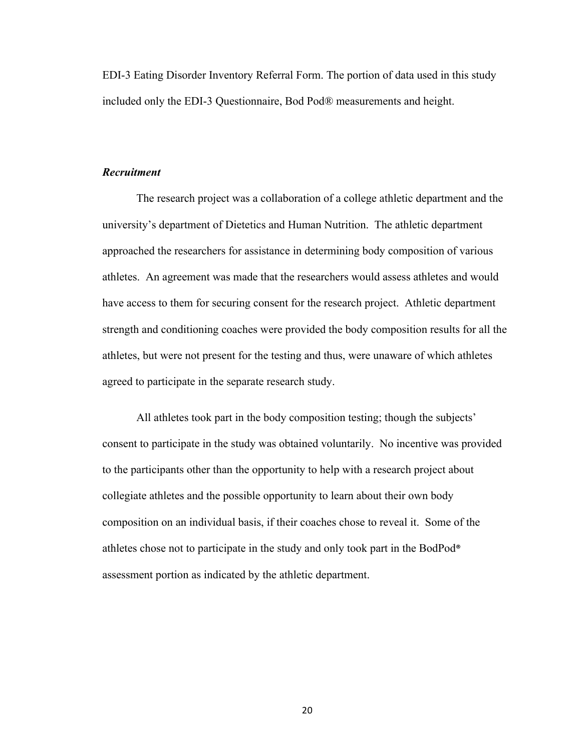EDI-3 Eating Disorder Inventory Referral Form. The portion of data used in this study included only the EDI-3 Questionnaire, Bod Pod® measurements and height.

#### *Recruitment*

The research project was a collaboration of a college athletic department and the university's department of Dietetics and Human Nutrition. The athletic department approached the researchers for assistance in determining body composition of various athletes. An agreement was made that the researchers would assess athletes and would have access to them for securing consent for the research project. Athletic department strength and conditioning coaches were provided the body composition results for all the athletes, but were not present for the testing and thus, were unaware of which athletes agreed to participate in the separate research study.

All athletes took part in the body composition testing; though the subjects' consent to participate in the study was obtained voluntarily. No incentive was provided to the participants other than the opportunity to help with a research project about collegiate athletes and the possible opportunity to learn about their own body composition on an individual basis, if their coaches chose to reveal it. Some of the athletes chose not to participate in the study and only took part in the BodPod® assessment portion as indicated by the athletic department.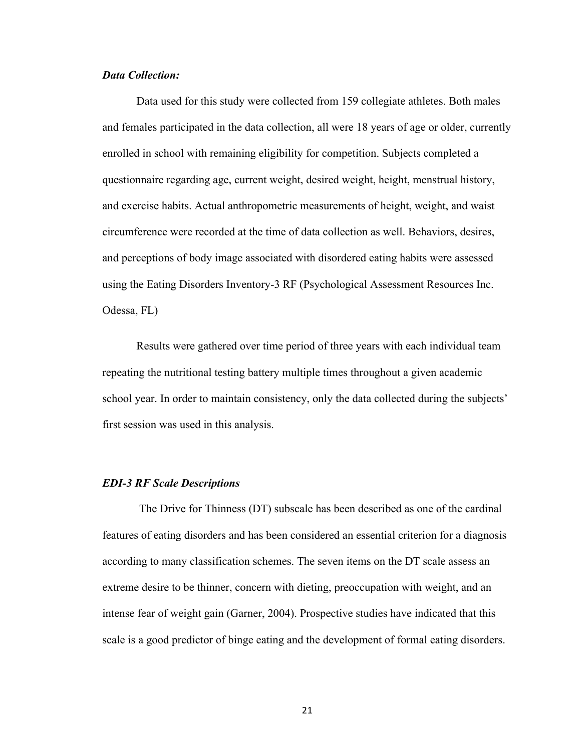#### *Data Collection:*

Data used for this study were collected from 159 collegiate athletes. Both males and females participated in the data collection, all were 18 years of age or older, currently enrolled in school with remaining eligibility for competition. Subjects completed a questionnaire regarding age, current weight, desired weight, height, menstrual history, and exercise habits. Actual anthropometric measurements of height, weight, and waist circumference were recorded at the time of data collection as well. Behaviors, desires, and perceptions of body image associated with disordered eating habits were assessed using the Eating Disorders Inventory-3 RF (Psychological Assessment Resources Inc. Odessa, FL)

Results were gathered over time period of three years with each individual team repeating the nutritional testing battery multiple times throughout a given academic school year. In order to maintain consistency, only the data collected during the subjects' first session was used in this analysis.

#### *EDI-3 RF Scale Descriptions*

The Drive for Thinness (DT) subscale has been described as one of the cardinal features of eating disorders and has been considered an essential criterion for a diagnosis according to many classification schemes. The seven items on the DT scale assess an extreme desire to be thinner, concern with dieting, preoccupation with weight, and an intense fear of weight gain (Garner, 2004). Prospective studies have indicated that this scale is a good predictor of binge eating and the development of formal eating disorders.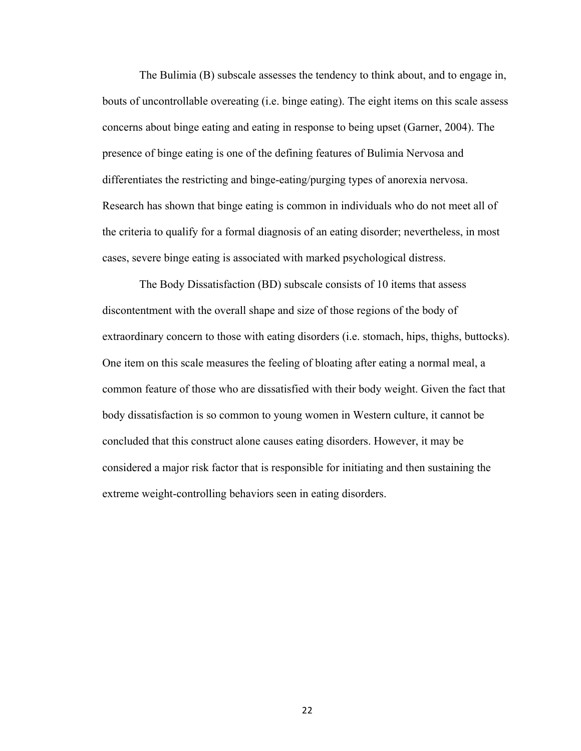The Bulimia (B) subscale assesses the tendency to think about, and to engage in, bouts of uncontrollable overeating (i.e. binge eating). The eight items on this scale assess concerns about binge eating and eating in response to being upset (Garner, 2004). The presence of binge eating is one of the defining features of Bulimia Nervosa and differentiates the restricting and binge-eating/purging types of anorexia nervosa. Research has shown that binge eating is common in individuals who do not meet all of the criteria to qualify for a formal diagnosis of an eating disorder; nevertheless, in most cases, severe binge eating is associated with marked psychological distress.

The Body Dissatisfaction (BD) subscale consists of 10 items that assess discontentment with the overall shape and size of those regions of the body of extraordinary concern to those with eating disorders (i.e. stomach, hips, thighs, buttocks). One item on this scale measures the feeling of bloating after eating a normal meal, a common feature of those who are dissatisfied with their body weight. Given the fact that body dissatisfaction is so common to young women in Western culture, it cannot be concluded that this construct alone causes eating disorders. However, it may be considered a major risk factor that is responsible for initiating and then sustaining the extreme weight-controlling behaviors seen in eating disorders.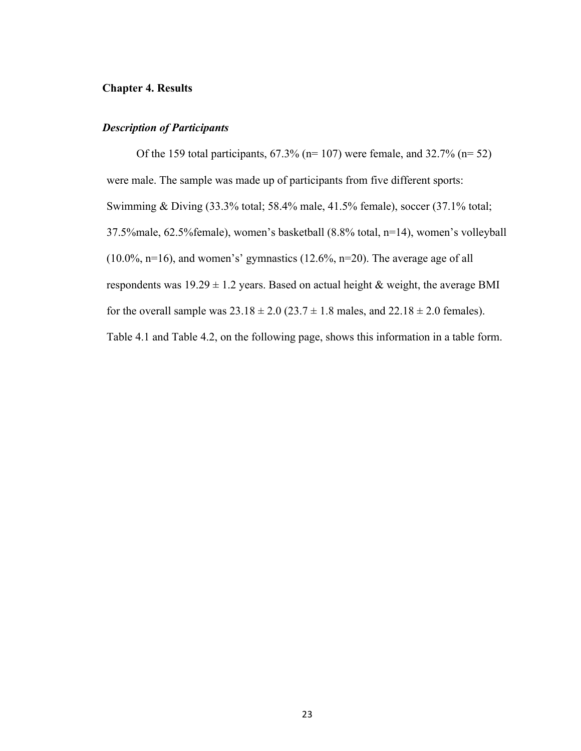#### **Chapter 4. Results**

#### *Description of Participants*

Of the 159 total participants,  $67.3\%$  (n= 107) were female, and  $32.7\%$  (n= 52) were male. The sample was made up of participants from five different sports: Swimming & Diving (33.3% total; 58.4% male, 41.5% female), soccer (37.1% total; 37.5%male, 62.5%female), women's basketball (8.8% total, n=14), women's volleyball (10.0%, n=16), and women's' gymnastics (12.6%, n=20). The average age of all respondents was  $19.29 \pm 1.2$  years. Based on actual height & weight, the average BMI for the overall sample was  $23.18 \pm 2.0$  ( $23.7 \pm 1.8$  males, and  $22.18 \pm 2.0$  females). Table 4.1 and Table 4.2, on the following page, shows this information in a table form.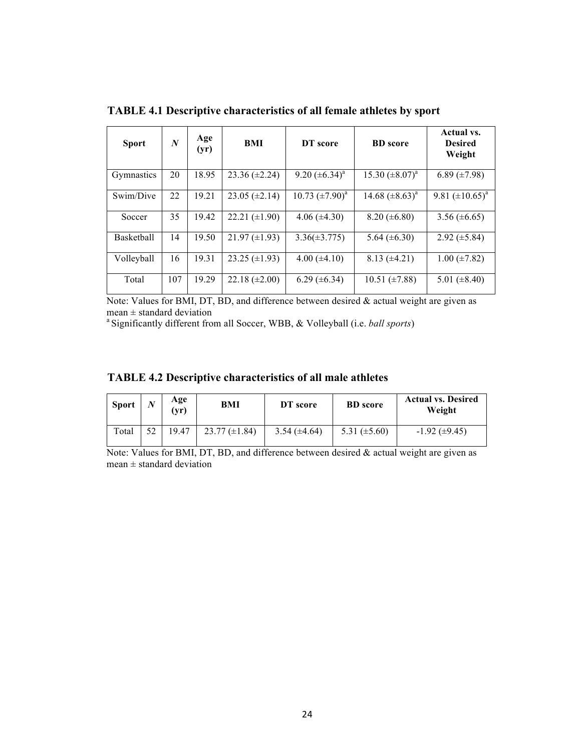| <b>Sport</b> | $\boldsymbol{N}$ | Age<br>(yr) | BMI                  | DT score             | <b>BD</b> score      | Actual vs.<br><b>Desired</b><br>Weight |
|--------------|------------------|-------------|----------------------|----------------------|----------------------|----------------------------------------|
| Gymnastics   | 20               | 18.95       | $23.36 \ (\pm 2.24)$ | 9.20 $(\pm 6.34)^a$  | 15.30 $(\pm 8.07)^a$ | 6.89 $(\pm 7.98)$                      |
| Swim/Dive    | 22               | 19.21       | $23.05 \ (\pm 2.14)$ | 10.73 $(\pm 7.90)^a$ | 14.68 $(\pm 8.63)^a$ | 9.81 $(\pm 10.65)^a$                   |
| Soccer       | 35               | 19.42       | $22.21 (\pm 1.90)$   | $4.06 (\pm 4.30)$    | $8.20 (\pm 6.80)$    | $3.56 \ (\pm 6.65)$                    |
| Basketball   | 14               | 19.50       | $21.97 \ (\pm 1.93)$ | $3.36(\pm 3.775)$    | 5.64 $(\pm 6.30)$    | $2.92 \ (\pm 5.84)$                    |
| Volleyball   | 16               | 19.31       | $23.25 \ (\pm 1.93)$ | $4.00 \ (\pm 4.10)$  | $8.13 \ (\pm 4.21)$  | $1.00 \ (\pm 7.82)$                    |
| Total        | 107              | 19.29       | $22.18 (\pm 2.00)$   | $6.29 \ (\pm 6.34)$  | $10.51 \ (\pm 7.88)$ | 5.01 $(\pm 8.40)$                      |

**TABLE 4.1 Descriptive characteristics of all female athletes by sport**

Note: Values for BMI, DT, BD, and difference between desired & actual weight are given as  $mean \pm standard deviation$ 

a Significantly different from all Soccer, WBB, & Volleyball (i.e. *ball sports*)

| <b>TABLE 4.2 Descriptive characteristics of all male athletes</b> |  |  |  |  |  |  |  |  |  |  |  |  |  |  |  |  |  |
|-------------------------------------------------------------------|--|--|--|--|--|--|--|--|--|--|--|--|--|--|--|--|--|
|-------------------------------------------------------------------|--|--|--|--|--|--|--|--|--|--|--|--|--|--|--|--|--|

| <b>Sport</b> | N  | Age<br>$(\mathbf{yr})$ | BMI                  | DT score          | <b>BD</b> score   | <b>Actual vs. Desired</b><br>Weight |
|--------------|----|------------------------|----------------------|-------------------|-------------------|-------------------------------------|
| Total        | 52 | 19.47                  | $23.77 \ (\pm 1.84)$ | 3.54 $(\pm 4.64)$ | 5.31 $(\pm 5.60)$ | $-1.92 \ (\pm 9.45)$                |

Note: Values for BMI, DT, BD, and difference between desired & actual weight are given as  $mean \pm standard deviation$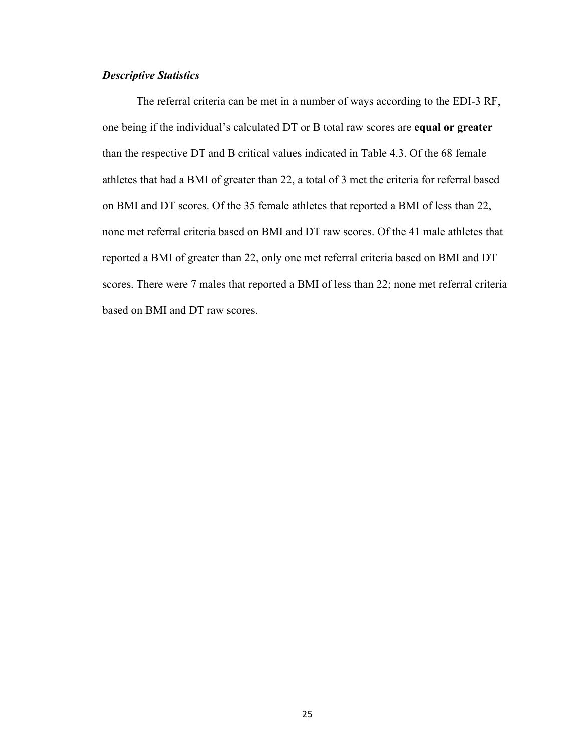### *Descriptive Statistics*

The referral criteria can be met in a number of ways according to the EDI-3 RF, one being if the individual's calculated DT or B total raw scores are **equal or greater** than the respective DT and B critical values indicated in Table 4.3. Of the 68 female athletes that had a BMI of greater than 22, a total of 3 met the criteria for referral based on BMI and DT scores. Of the 35 female athletes that reported a BMI of less than 22, none met referral criteria based on BMI and DT raw scores. Of the 41 male athletes that reported a BMI of greater than 22, only one met referral criteria based on BMI and DT scores. There were 7 males that reported a BMI of less than 22; none met referral criteria based on BMI and DT raw scores.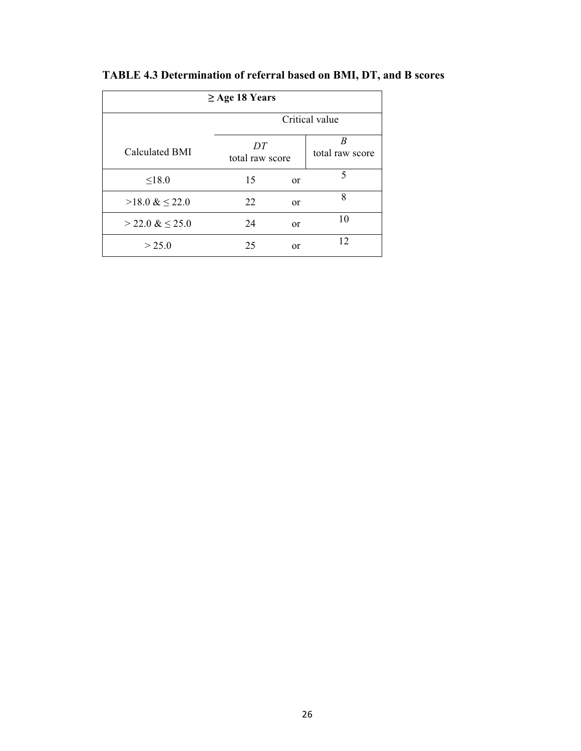| $\geq$ Age 18 Years    |                       |                      |    |  |  |  |  |  |
|------------------------|-----------------------|----------------------|----|--|--|--|--|--|
|                        | Critical value        |                      |    |  |  |  |  |  |
| Calculated BMI         | DT<br>total raw score | B<br>total raw score |    |  |  |  |  |  |
| $\leq 18.0$            | 15                    | <sub>or</sub>        | 5  |  |  |  |  |  |
| $>18.0 \& \leq 22.0$   | 22                    | <sub>or</sub>        | 8  |  |  |  |  |  |
| $>$ 22.0 & $\leq$ 25.0 | 24                    | <sub>or</sub>        | 10 |  |  |  |  |  |
| > 25.0                 | 25                    | <sub>or</sub>        | 12 |  |  |  |  |  |

**TABLE 4.3 Determination of referral based on BMI, DT, and B scores**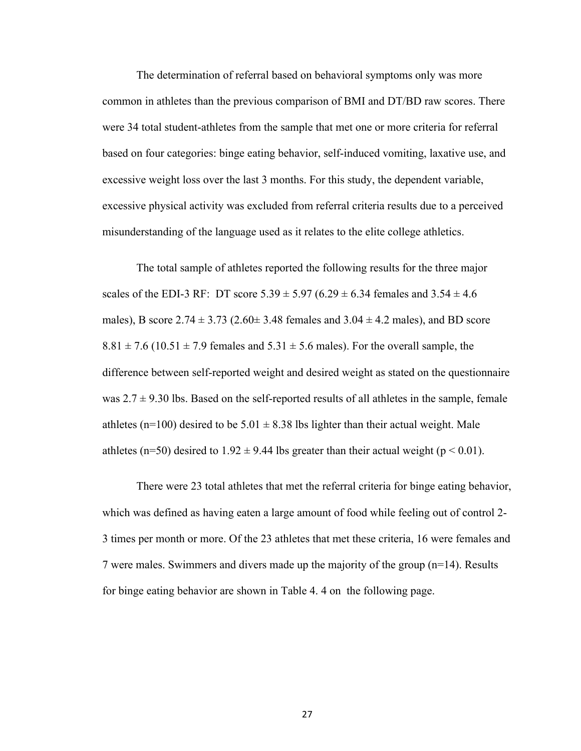The determination of referral based on behavioral symptoms only was more common in athletes than the previous comparison of BMI and DT/BD raw scores. There were 34 total student-athletes from the sample that met one or more criteria for referral based on four categories: binge eating behavior, self-induced vomiting, laxative use, and excessive weight loss over the last 3 months. For this study, the dependent variable, excessive physical activity was excluded from referral criteria results due to a perceived misunderstanding of the language used as it relates to the elite college athletics.

The total sample of athletes reported the following results for the three major scales of the EDI-3 RF: DT score  $5.39 \pm 5.97$  (6.29  $\pm$  6.34 females and  $3.54 \pm 4.6$ ) males), B score  $2.74 \pm 3.73$  ( $2.60 \pm 3.48$  females and  $3.04 \pm 4.2$  males), and BD score  $8.81 \pm 7.6$  (10.51  $\pm$  7.9 females and 5.31  $\pm$  5.6 males). For the overall sample, the difference between self-reported weight and desired weight as stated on the questionnaire was  $2.7 \pm 9.30$  lbs. Based on the self-reported results of all athletes in the sample, female athletes (n=100) desired to be  $5.01 \pm 8.38$  lbs lighter than their actual weight. Male athletes (n=50) desired to  $1.92 \pm 9.44$  lbs greater than their actual weight (p < 0.01).

There were 23 total athletes that met the referral criteria for binge eating behavior, which was defined as having eaten a large amount of food while feeling out of control 2- 3 times per month or more. Of the 23 athletes that met these criteria, 16 were females and 7 were males. Swimmers and divers made up the majority of the group (n=14). Results for binge eating behavior are shown in Table 4. 4 on the following page.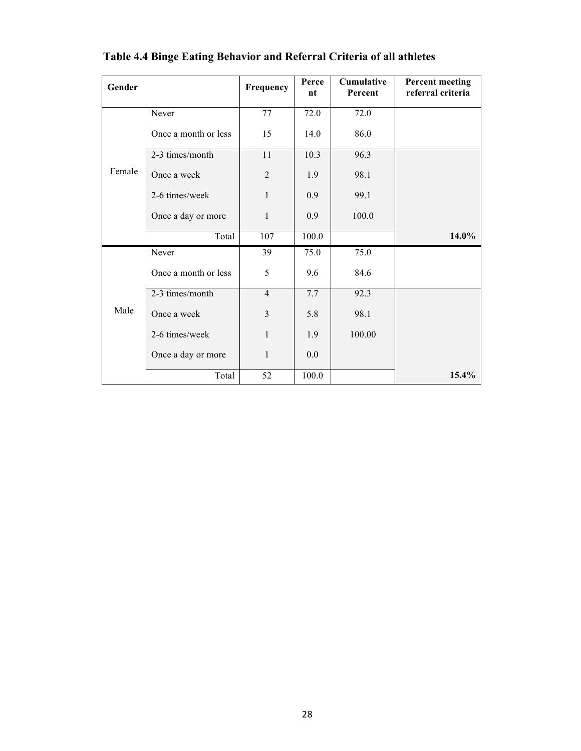| Gender |                      | Frequency      | Perce<br>nt | Cumulative<br>Percent | <b>Percent meeting</b><br>referral criteria |
|--------|----------------------|----------------|-------------|-----------------------|---------------------------------------------|
|        | Never                | 77             | 72.0        | 72.0                  |                                             |
|        | Once a month or less | 15             | 14.0        | 86.0                  |                                             |
|        | 2-3 times/month      | 11             | 10.3        | 96.3                  |                                             |
| Female | Once a week          | $\overline{2}$ | 1.9         | 98.1                  |                                             |
|        | 2-6 times/week       | 1              | 0.9         | 99.1                  |                                             |
|        | Once a day or more   | $\mathbf{1}$   | 0.9         | 100.0                 |                                             |
|        | Total                | 107            | 100.0       |                       | 14.0%                                       |
|        | Never                | 39             | 75.0        | 75.0                  |                                             |
|        | Once a month or less | 5              | 9.6         | 84.6                  |                                             |
| Male   | 2-3 times/month      | $\overline{4}$ | 7.7         | 92.3                  |                                             |
|        | Once a week          | 3              | 5.8         | 98.1                  |                                             |
|        | 2-6 times/week       | 1              | 1.9         | 100.00                |                                             |
|        | Once a day or more   | 1              | 0.0         |                       |                                             |
|        | Total                | 52             | 100.0       |                       | $15.4\%$                                    |

## **Table 4.4 Binge Eating Behavior and Referral Criteria of all athletes**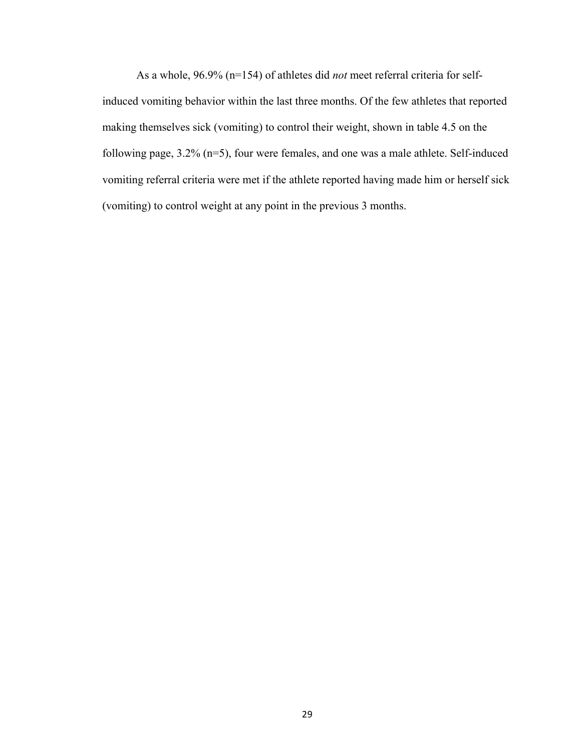As a whole, 96.9% (n=154) of athletes did *not* meet referral criteria for selfinduced vomiting behavior within the last three months. Of the few athletes that reported making themselves sick (vomiting) to control their weight, shown in table 4.5 on the following page, 3.2% (n=5), four were females, and one was a male athlete. Self-induced vomiting referral criteria were met if the athlete reported having made him or herself sick (vomiting) to control weight at any point in the previous 3 months.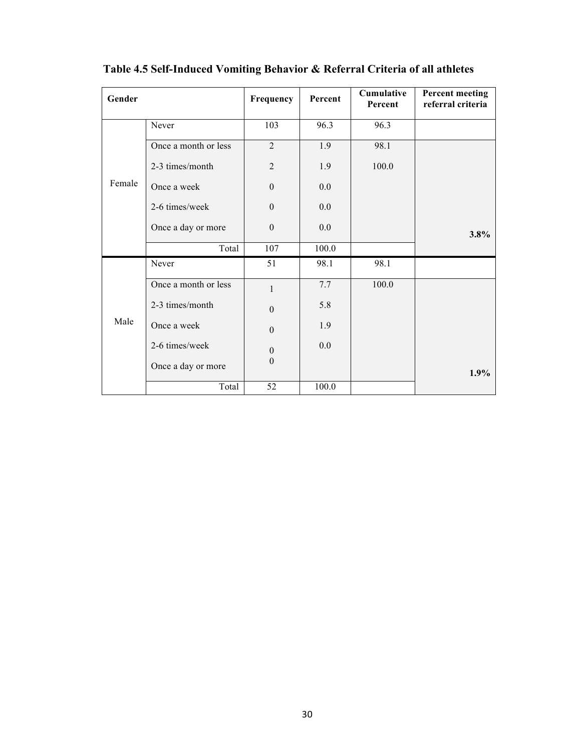| Gender |                      | Frequency        | Percent | Cumulative<br>Percent | <b>Percent meeting</b><br>referral criteria |
|--------|----------------------|------------------|---------|-----------------------|---------------------------------------------|
|        | Never                | 103              | 96.3    | 96.3                  |                                             |
|        | Once a month or less | $\overline{2}$   | 1.9     | 98.1                  |                                             |
|        | 2-3 times/month      | $\overline{2}$   | 1.9     | 100.0                 |                                             |
| Female | Once a week          | $\boldsymbol{0}$ | 0.0     |                       |                                             |
|        | 2-6 times/week       | $\mathbf{0}$     | 0.0     |                       |                                             |
|        | Once a day or more   | $\boldsymbol{0}$ | 0.0     |                       | $3.8\%$                                     |
|        | Total                | 107              | 100.0   |                       |                                             |
|        | Never                | 51               | 98.1    | 98.1                  |                                             |
|        | Once a month or less | $\mathbf{1}$     | 7.7     | 100.0                 |                                             |
| Male   | 2-3 times/month      | $\mathbf{0}$     | 5.8     |                       |                                             |
|        | Once a week          | $\boldsymbol{0}$ | 1.9     |                       |                                             |
|        | 2-6 times/week       | $\boldsymbol{0}$ | 0.0     |                       |                                             |
|        | Once a day or more   | $\mathbf{0}$     |         |                       | 1.9%                                        |
|        | Total                | 52               | 100.0   |                       |                                             |

**Table 4.5 Self-Induced Vomiting Behavior & Referral Criteria of all athletes**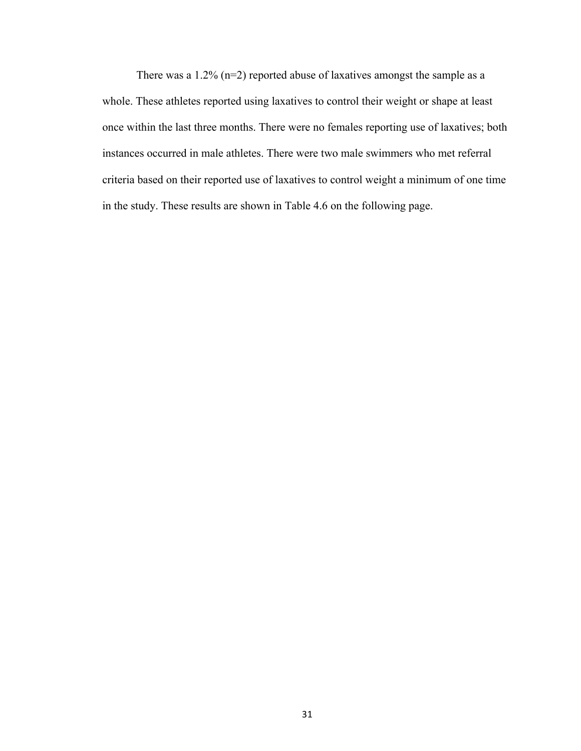There was a 1.2%  $(n=2)$  reported abuse of laxatives amongst the sample as a whole. These athletes reported using laxatives to control their weight or shape at least once within the last three months. There were no females reporting use of laxatives; both instances occurred in male athletes. There were two male swimmers who met referral criteria based on their reported use of laxatives to control weight a minimum of one time in the study. These results are shown in Table 4.6 on the following page.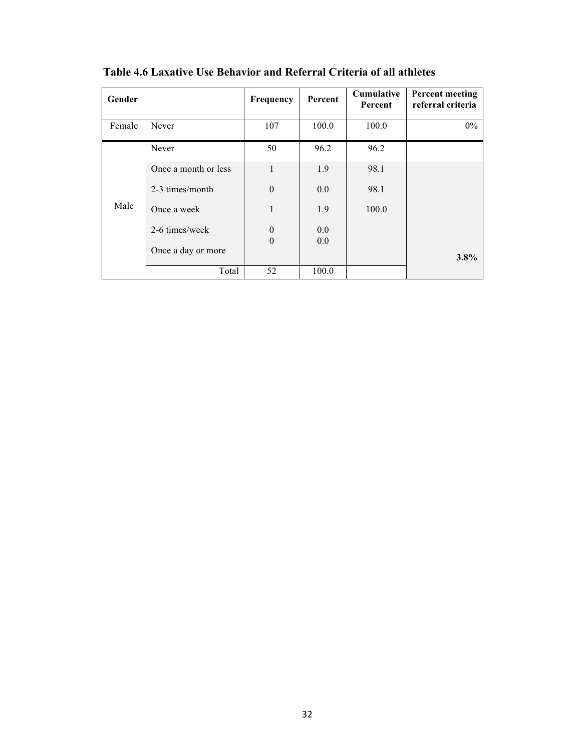| Gender |                      | Frequency            | Percent    | <b>Cumulative</b><br>Percent | <b>Percent meeting</b><br>referral criteria |
|--------|----------------------|----------------------|------------|------------------------------|---------------------------------------------|
| Female | Never                | 107                  | 100.0      | 100.0                        | $0\%$                                       |
|        | Never                | 50                   | 96.2       | 96.2                         |                                             |
|        | Once a month or less | 1                    | 1.9        | 98.1                         |                                             |
|        | 2-3 times/month      | $\theta$             | 0.0        | 98.1                         |                                             |
| Male   | Once a week          | 1                    | 1.9        | 100.0                        |                                             |
|        | 2-6 times/week       | $\theta$<br>$\theta$ | 0.0<br>0.0 |                              |                                             |
|        | Once a day or more   |                      |            |                              | $3.8\%$                                     |
|        | Total                | 52                   | 100.0      |                              |                                             |

**Table 4.6 Laxative Use Behavior and Referral Criteria of all athletes**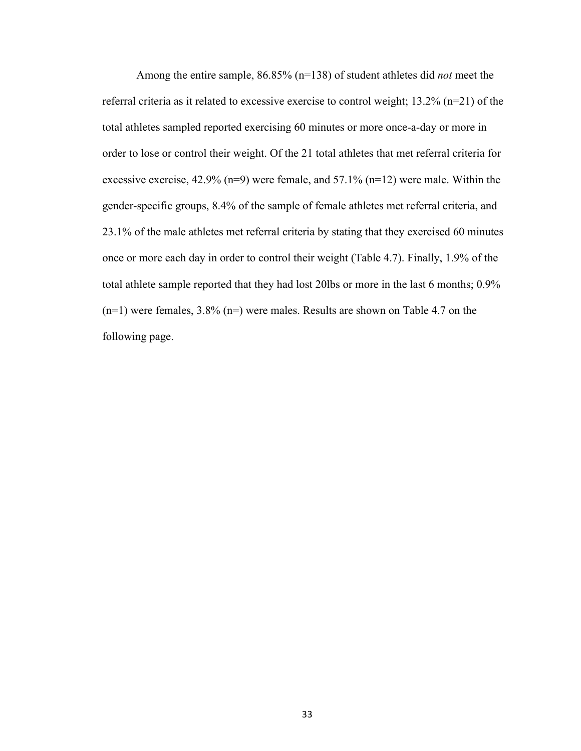Among the entire sample, 86.85% (n=138) of student athletes did *not* meet the referral criteria as it related to excessive exercise to control weight; 13.2% (n=21) of the total athletes sampled reported exercising 60 minutes or more once-a-day or more in order to lose or control their weight. Of the 21 total athletes that met referral criteria for excessive exercise, 42.9% (n=9) were female, and 57.1% (n=12) were male. Within the gender-specific groups, 8.4% of the sample of female athletes met referral criteria, and 23.1% of the male athletes met referral criteria by stating that they exercised 60 minutes once or more each day in order to control their weight (Table 4.7). Finally, 1.9% of the total athlete sample reported that they had lost 20lbs or more in the last 6 months; 0.9%  $(n=1)$  were females, 3.8%  $(n=)$  were males. Results are shown on Table 4.7 on the following page.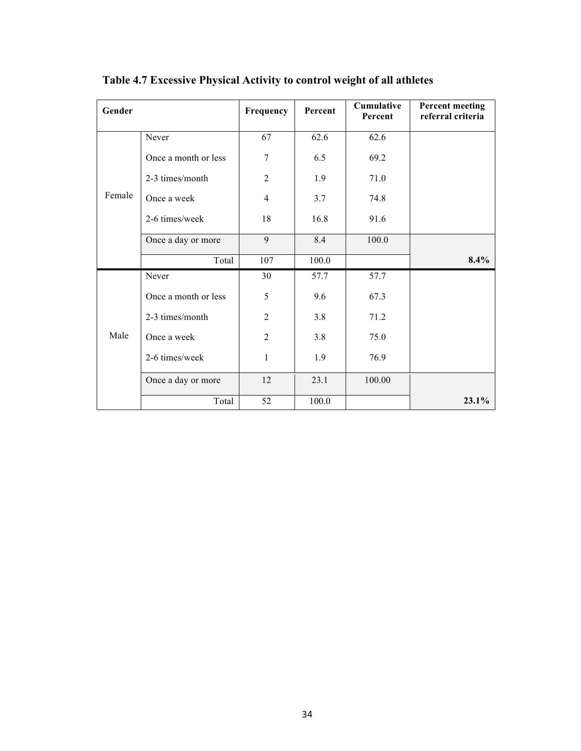| Gender |                      | Frequency        | Percent | Cumulative<br>Percent | <b>Percent meeting</b><br>referral criteria |
|--------|----------------------|------------------|---------|-----------------------|---------------------------------------------|
|        | Never                | 67               | 62.6    | 62.6                  |                                             |
|        | Once a month or less | $\boldsymbol{7}$ | 6.5     | 69.2                  |                                             |
|        | 2-3 times/month      | $\overline{2}$   | 1.9     | 71.0                  |                                             |
| Female | Once a week          | $\overline{4}$   | 3.7     | 74.8                  |                                             |
|        | 2-6 times/week       | 18               | 16.8    | 91.6                  |                                             |
|        | Once a day or more   | 9                | 8.4     | 100.0                 |                                             |
|        | Total                | 107              | 100.0   |                       | 8.4%                                        |
|        | Never                | 30               | 57.7    | 57.7                  |                                             |
| Male   | Once a month or less | 5                | 9.6     | 67.3                  |                                             |
|        | 2-3 times/month      | $\overline{2}$   | 3.8     | 71.2                  |                                             |
|        | Once a week          | $\overline{2}$   | 3.8     | 75.0                  |                                             |
|        | 2-6 times/week       | 1                | 1.9     | 76.9                  |                                             |
|        | Once a day or more   | 12               | 23.1    | 100.00                |                                             |
|        | Total                | 52               | 100.0   |                       | $23.1\%$                                    |

**Table 4.7 Excessive Physical Activity to control weight of all athletes**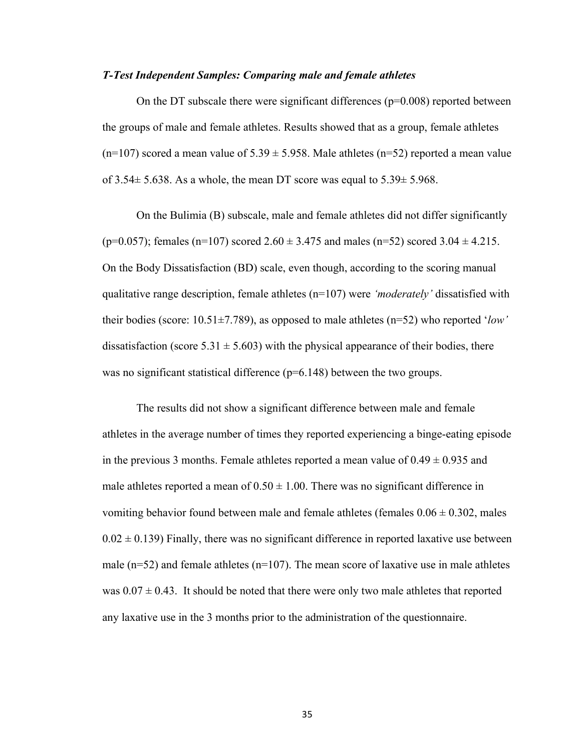#### *T-Test Independent Samples: Comparing male and female athletes*

On the DT subscale there were significant differences ( $p=0.008$ ) reported between the groups of male and female athletes. Results showed that as a group, female athletes  $(n=107)$  scored a mean value of 5.39  $\pm$  5.958. Male athletes (n=52) reported a mean value of  $3.54 \pm 5.638$ . As a whole, the mean DT score was equal to  $5.39 \pm 5.968$ .

On the Bulimia (B) subscale, male and female athletes did not differ significantly (p=0.057); females (n=107) scored  $2.60 \pm 3.475$  and males (n=52) scored  $3.04 \pm 4.215$ . On the Body Dissatisfaction (BD) scale, even though, according to the scoring manual qualitative range description, female athletes (n=107) were *'moderately'* dissatisfied with their bodies (score: 10.51±7.789), as opposed to male athletes (n=52) who reported '*low'* dissatisfaction (score  $5.31 \pm 5.603$ ) with the physical appearance of their bodies, there was no significant statistical difference (p=6.148) between the two groups.

The results did not show a significant difference between male and female athletes in the average number of times they reported experiencing a binge-eating episode in the previous 3 months. Female athletes reported a mean value of  $0.49 \pm 0.935$  and male athletes reported a mean of  $0.50 \pm 1.00$ . There was no significant difference in vomiting behavior found between male and female athletes (females  $0.06 \pm 0.302$ , males  $0.02 \pm 0.139$ ) Finally, there was no significant difference in reported laxative use between male ( $n=52$ ) and female athletes ( $n=107$ ). The mean score of laxative use in male athletes was  $0.07 \pm 0.43$ . It should be noted that there were only two male athletes that reported any laxative use in the 3 months prior to the administration of the questionnaire.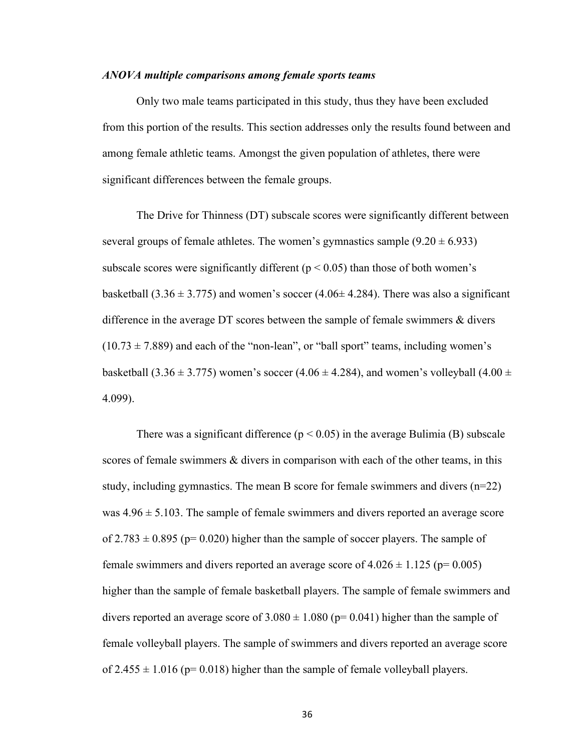#### *ANOVA multiple comparisons among female sports teams*

Only two male teams participated in this study, thus they have been excluded from this portion of the results. This section addresses only the results found between and among female athletic teams. Amongst the given population of athletes, there were significant differences between the female groups.

The Drive for Thinness (DT) subscale scores were significantly different between several groups of female athletes. The women's gymnastics sample  $(9.20 \pm 6.933)$ subscale scores were significantly different ( $p < 0.05$ ) than those of both women's basketball (3.36  $\pm$  3.775) and women's soccer (4.06 $\pm$  4.284). There was also a significant difference in the average DT scores between the sample of female swimmers & divers  $(10.73 \pm 7.889)$  and each of the "non-lean", or "ball sport" teams, including women's basketball (3.36  $\pm$  3.775) women's soccer (4.06  $\pm$  4.284), and women's volleyball (4.00  $\pm$ 4.099).

There was a significant difference ( $p < 0.05$ ) in the average Bulimia (B) subscale scores of female swimmers & divers in comparison with each of the other teams, in this study, including gymnastics. The mean B score for female swimmers and divers (n=22) was  $4.96 \pm 5.103$ . The sample of female swimmers and divers reported an average score of  $2.783 \pm 0.895$  (p= 0.020) higher than the sample of soccer players. The sample of female swimmers and divers reported an average score of  $4.026 \pm 1.125$  (p= 0.005) higher than the sample of female basketball players. The sample of female swimmers and divers reported an average score of  $3.080 \pm 1.080$  (p= 0.041) higher than the sample of female volleyball players. The sample of swimmers and divers reported an average score of  $2.455 \pm 1.016$  (p= 0.018) higher than the sample of female volleyball players.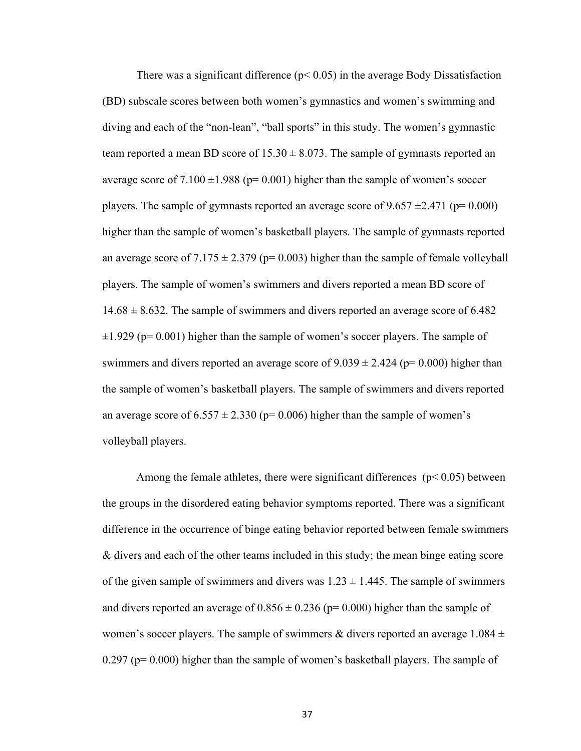There was a significant difference ( $p < 0.05$ ) in the average Body Dissatisfaction (BD) subscale scores between both women's gymnastics and women's swimming and diving and each of the "non-lean", "ball sports" in this study. The women's gymnastic team reported a mean BD score of  $15.30 \pm 8.073$ . The sample of gymnasts reported an average score of  $7.100 \pm 1.988$  (p= 0.001) higher than the sample of women's soccer players. The sample of gymnasts reported an average score of  $9.657 \pm 2.471$  (p= 0.000) higher than the sample of women's basketball players. The sample of gymnasts reported an average score of  $7.175 \pm 2.379$  (p= 0.003) higher than the sample of female volleyball players. The sample of women's swimmers and divers reported a mean BD score of  $14.68 \pm 8.632$ . The sample of swimmers and divers reported an average score of 6.482  $\pm 1.929$  (p= 0.001) higher than the sample of women's soccer players. The sample of swimmers and divers reported an average score of  $9.039 \pm 2.424$  (p= 0.000) higher than the sample of women's basketball players. The sample of swimmers and divers reported an average score of  $6.557 \pm 2.330$  (p= 0.006) higher than the sample of women's volleyball players.

Among the female athletes, there were significant differences ( $p < 0.05$ ) between the groups in the disordered eating behavior symptoms reported. There was a significant difference in the occurrence of binge eating behavior reported between female swimmers & divers and each of the other teams included in this study; the mean binge eating score of the given sample of swimmers and divers was  $1.23 \pm 1.445$ . The sample of swimmers and divers reported an average of  $0.856 \pm 0.236$  (p= 0.000) higher than the sample of women's soccer players. The sample of swimmers & divers reported an average  $1.084 \pm$ 0.297 (p= 0.000) higher than the sample of women's basketball players. The sample of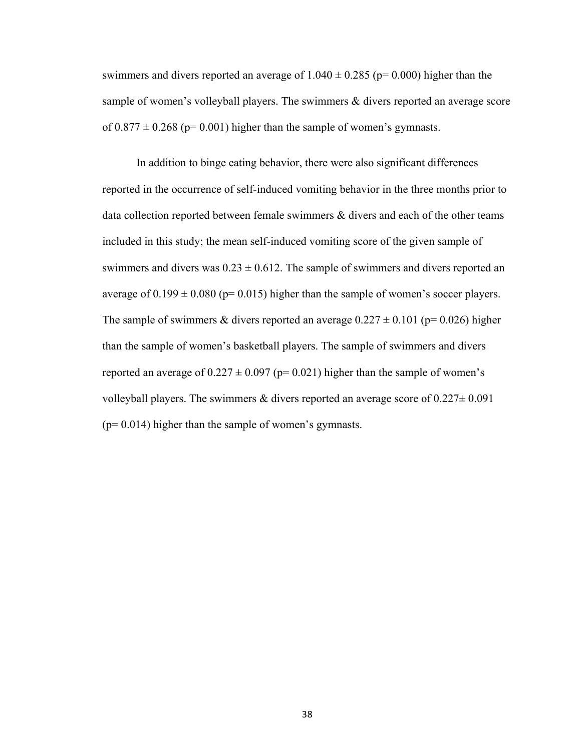swimmers and divers reported an average of  $1.040 \pm 0.285$  (p= 0.000) higher than the sample of women's volleyball players. The swimmers & divers reported an average score of  $0.877 \pm 0.268$  (p= 0.001) higher than the sample of women's gymnasts.

In addition to binge eating behavior, there were also significant differences reported in the occurrence of self-induced vomiting behavior in the three months prior to data collection reported between female swimmers & divers and each of the other teams included in this study; the mean self-induced vomiting score of the given sample of swimmers and divers was  $0.23 \pm 0.612$ . The sample of swimmers and divers reported an average of  $0.199 \pm 0.080$  (p= 0.015) higher than the sample of women's soccer players. The sample of swimmers & divers reported an average  $0.227 \pm 0.101$  (p= 0.026) higher than the sample of women's basketball players. The sample of swimmers and divers reported an average of  $0.227 \pm 0.097$  (p= 0.021) higher than the sample of women's volleyball players. The swimmers & divers reported an average score of  $0.227 \pm 0.091$  $(p= 0.014)$  higher than the sample of women's gymnasts.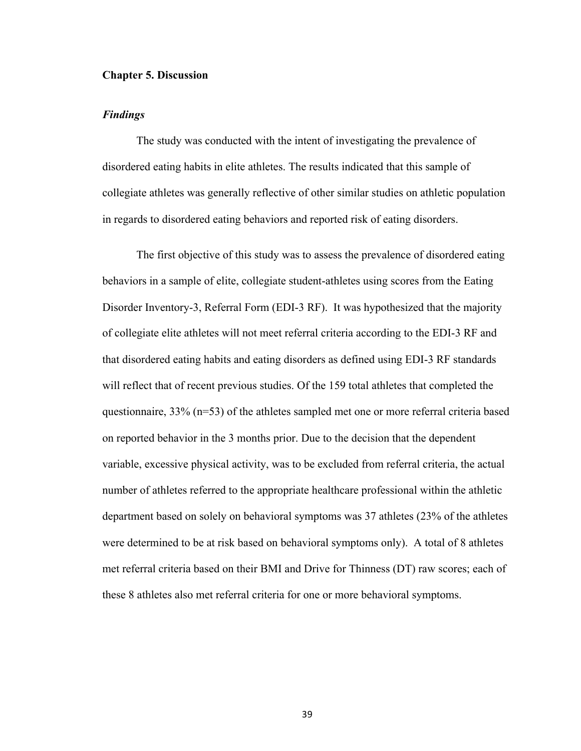#### **Chapter 5. Discussion**

#### *Findings*

The study was conducted with the intent of investigating the prevalence of disordered eating habits in elite athletes. The results indicated that this sample of collegiate athletes was generally reflective of other similar studies on athletic population in regards to disordered eating behaviors and reported risk of eating disorders.

The first objective of this study was to assess the prevalence of disordered eating behaviors in a sample of elite, collegiate student-athletes using scores from the Eating Disorder Inventory-3, Referral Form (EDI-3 RF). It was hypothesized that the majority of collegiate elite athletes will not meet referral criteria according to the EDI-3 RF and that disordered eating habits and eating disorders as defined using EDI-3 RF standards will reflect that of recent previous studies. Of the 159 total athletes that completed the questionnaire, 33% (n=53) of the athletes sampled met one or more referral criteria based on reported behavior in the 3 months prior. Due to the decision that the dependent variable, excessive physical activity, was to be excluded from referral criteria, the actual number of athletes referred to the appropriate healthcare professional within the athletic department based on solely on behavioral symptoms was 37 athletes (23% of the athletes were determined to be at risk based on behavioral symptoms only). A total of 8 athletes met referral criteria based on their BMI and Drive for Thinness (DT) raw scores; each of these 8 athletes also met referral criteria for one or more behavioral symptoms.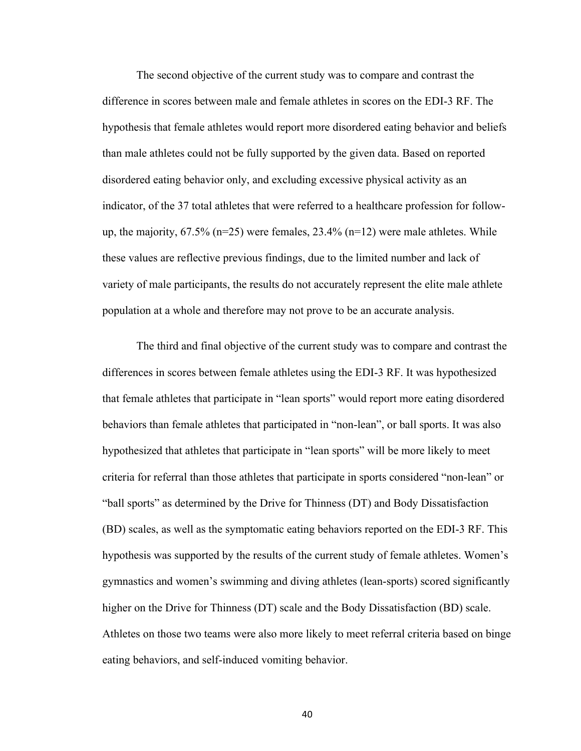The second objective of the current study was to compare and contrast the difference in scores between male and female athletes in scores on the EDI-3 RF. The hypothesis that female athletes would report more disordered eating behavior and beliefs than male athletes could not be fully supported by the given data. Based on reported disordered eating behavior only, and excluding excessive physical activity as an indicator, of the 37 total athletes that were referred to a healthcare profession for followup, the majority,  $67.5\%$  ( $n=25$ ) were females,  $23.4\%$  ( $n=12$ ) were male athletes. While these values are reflective previous findings, due to the limited number and lack of variety of male participants, the results do not accurately represent the elite male athlete population at a whole and therefore may not prove to be an accurate analysis.

The third and final objective of the current study was to compare and contrast the differences in scores between female athletes using the EDI-3 RF. It was hypothesized that female athletes that participate in "lean sports" would report more eating disordered behaviors than female athletes that participated in "non-lean", or ball sports. It was also hypothesized that athletes that participate in "lean sports" will be more likely to meet criteria for referral than those athletes that participate in sports considered "non-lean" or "ball sports" as determined by the Drive for Thinness (DT) and Body Dissatisfaction (BD) scales, as well as the symptomatic eating behaviors reported on the EDI-3 RF. This hypothesis was supported by the results of the current study of female athletes. Women's gymnastics and women's swimming and diving athletes (lean-sports) scored significantly higher on the Drive for Thinness (DT) scale and the Body Dissatisfaction (BD) scale. Athletes on those two teams were also more likely to meet referral criteria based on binge eating behaviors, and self-induced vomiting behavior.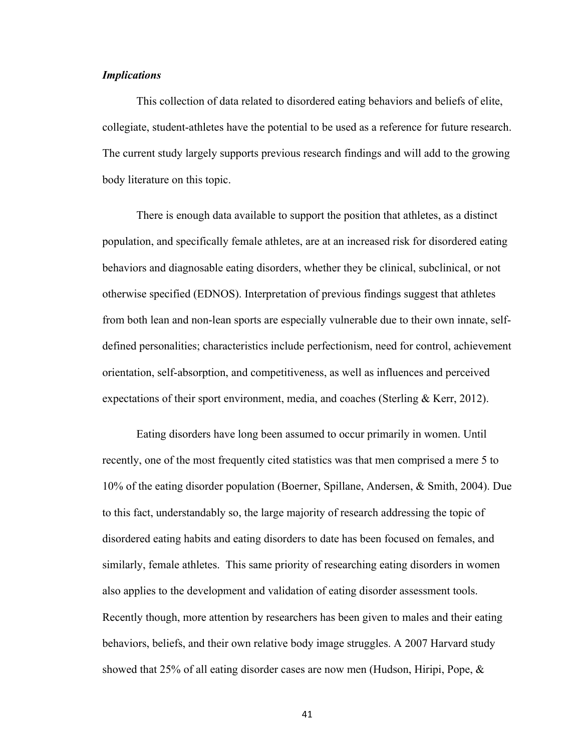#### *Implications*

This collection of data related to disordered eating behaviors and beliefs of elite, collegiate, student-athletes have the potential to be used as a reference for future research. The current study largely supports previous research findings and will add to the growing body literature on this topic.

There is enough data available to support the position that athletes, as a distinct population, and specifically female athletes, are at an increased risk for disordered eating behaviors and diagnosable eating disorders, whether they be clinical, subclinical, or not otherwise specified (EDNOS). Interpretation of previous findings suggest that athletes from both lean and non-lean sports are especially vulnerable due to their own innate, selfdefined personalities; characteristics include perfectionism, need for control, achievement orientation, self-absorption, and competitiveness, as well as influences and perceived expectations of their sport environment, media, and coaches (Sterling & Kerr, 2012).

Eating disorders have long been assumed to occur primarily in women. Until recently, one of the most frequently cited statistics was that men comprised a mere 5 to 10% of the eating disorder population (Boerner, Spillane, Andersen, & Smith, 2004). Due to this fact, understandably so, the large majority of research addressing the topic of disordered eating habits and eating disorders to date has been focused on females, and similarly, female athletes. This same priority of researching eating disorders in women also applies to the development and validation of eating disorder assessment tools. Recently though, more attention by researchers has been given to males and their eating behaviors, beliefs, and their own relative body image struggles. A 2007 Harvard study showed that 25% of all eating disorder cases are now men (Hudson, Hiripi, Pope, &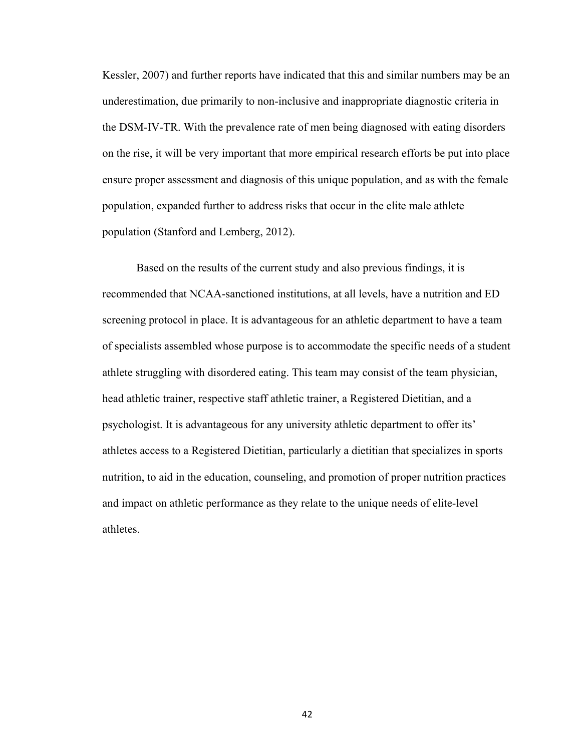Kessler, 2007) and further reports have indicated that this and similar numbers may be an underestimation, due primarily to non-inclusive and inappropriate diagnostic criteria in the DSM-IV-TR. With the prevalence rate of men being diagnosed with eating disorders on the rise, it will be very important that more empirical research efforts be put into place ensure proper assessment and diagnosis of this unique population, and as with the female population, expanded further to address risks that occur in the elite male athlete population (Stanford and Lemberg, 2012).

Based on the results of the current study and also previous findings, it is recommended that NCAA-sanctioned institutions, at all levels, have a nutrition and ED screening protocol in place. It is advantageous for an athletic department to have a team of specialists assembled whose purpose is to accommodate the specific needs of a student athlete struggling with disordered eating. This team may consist of the team physician, head athletic trainer, respective staff athletic trainer, a Registered Dietitian, and a psychologist. It is advantageous for any university athletic department to offer its' athletes access to a Registered Dietitian, particularly a dietitian that specializes in sports nutrition, to aid in the education, counseling, and promotion of proper nutrition practices and impact on athletic performance as they relate to the unique needs of elite-level athletes.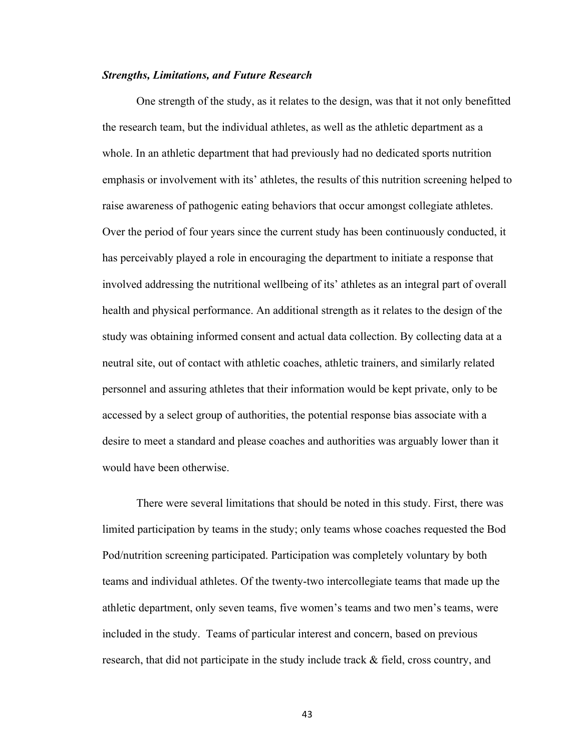#### *Strengths, Limitations, and Future Research*

One strength of the study, as it relates to the design, was that it not only benefitted the research team, but the individual athletes, as well as the athletic department as a whole. In an athletic department that had previously had no dedicated sports nutrition emphasis or involvement with its' athletes, the results of this nutrition screening helped to raise awareness of pathogenic eating behaviors that occur amongst collegiate athletes. Over the period of four years since the current study has been continuously conducted, it has perceivably played a role in encouraging the department to initiate a response that involved addressing the nutritional wellbeing of its' athletes as an integral part of overall health and physical performance. An additional strength as it relates to the design of the study was obtaining informed consent and actual data collection. By collecting data at a neutral site, out of contact with athletic coaches, athletic trainers, and similarly related personnel and assuring athletes that their information would be kept private, only to be accessed by a select group of authorities, the potential response bias associate with a desire to meet a standard and please coaches and authorities was arguably lower than it would have been otherwise.

There were several limitations that should be noted in this study. First, there was limited participation by teams in the study; only teams whose coaches requested the Bod Pod/nutrition screening participated. Participation was completely voluntary by both teams and individual athletes. Of the twenty-two intercollegiate teams that made up the athletic department, only seven teams, five women's teams and two men's teams, were included in the study. Teams of particular interest and concern, based on previous research, that did not participate in the study include track & field, cross country, and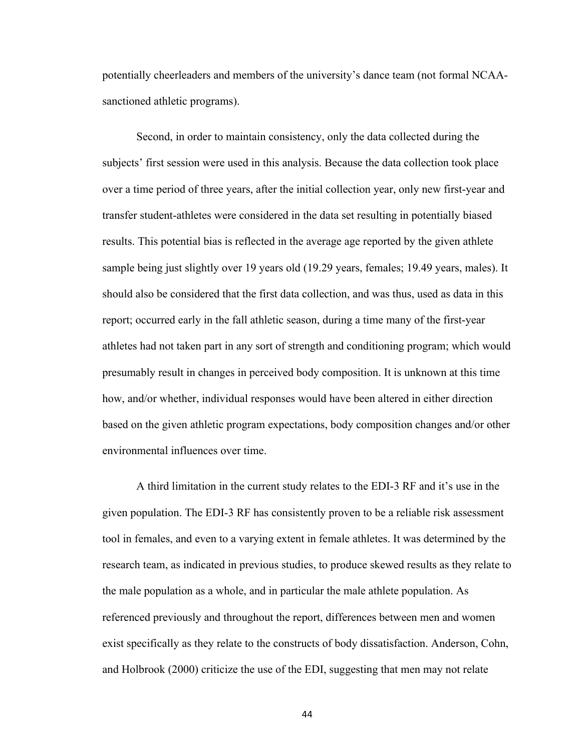potentially cheerleaders and members of the university's dance team (not formal NCAAsanctioned athletic programs).

Second, in order to maintain consistency, only the data collected during the subjects' first session were used in this analysis. Because the data collection took place over a time period of three years, after the initial collection year, only new first-year and transfer student-athletes were considered in the data set resulting in potentially biased results. This potential bias is reflected in the average age reported by the given athlete sample being just slightly over 19 years old (19.29 years, females; 19.49 years, males). It should also be considered that the first data collection, and was thus, used as data in this report; occurred early in the fall athletic season, during a time many of the first-year athletes had not taken part in any sort of strength and conditioning program; which would presumably result in changes in perceived body composition. It is unknown at this time how, and/or whether, individual responses would have been altered in either direction based on the given athletic program expectations, body composition changes and/or other environmental influences over time.

A third limitation in the current study relates to the EDI-3 RF and it's use in the given population. The EDI-3 RF has consistently proven to be a reliable risk assessment tool in females, and even to a varying extent in female athletes. It was determined by the research team, as indicated in previous studies, to produce skewed results as they relate to the male population as a whole, and in particular the male athlete population. As referenced previously and throughout the report, differences between men and women exist specifically as they relate to the constructs of body dissatisfaction. Anderson, Cohn, and Holbrook (2000) criticize the use of the EDI, suggesting that men may not relate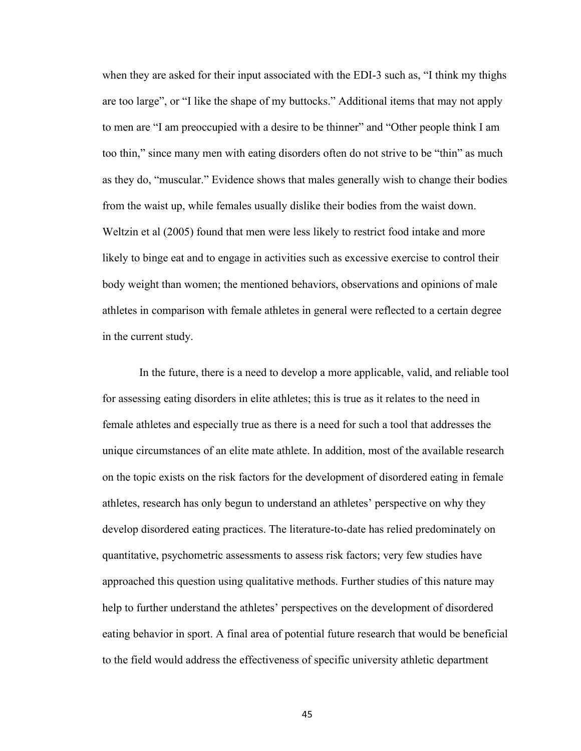when they are asked for their input associated with the EDI-3 such as, "I think my thighs are too large", or "I like the shape of my buttocks." Additional items that may not apply to men are "I am preoccupied with a desire to be thinner" and "Other people think I am too thin," since many men with eating disorders often do not strive to be "thin" as much as they do, "muscular." Evidence shows that males generally wish to change their bodies from the waist up, while females usually dislike their bodies from the waist down. Weltzin et al (2005) found that men were less likely to restrict food intake and more likely to binge eat and to engage in activities such as excessive exercise to control their body weight than women; the mentioned behaviors, observations and opinions of male athletes in comparison with female athletes in general were reflected to a certain degree in the current study.

In the future, there is a need to develop a more applicable, valid, and reliable tool for assessing eating disorders in elite athletes; this is true as it relates to the need in female athletes and especially true as there is a need for such a tool that addresses the unique circumstances of an elite mate athlete. In addition, most of the available research on the topic exists on the risk factors for the development of disordered eating in female athletes, research has only begun to understand an athletes' perspective on why they develop disordered eating practices. The literature-to-date has relied predominately on quantitative, psychometric assessments to assess risk factors; very few studies have approached this question using qualitative methods. Further studies of this nature may help to further understand the athletes' perspectives on the development of disordered eating behavior in sport. A final area of potential future research that would be beneficial to the field would address the effectiveness of specific university athletic department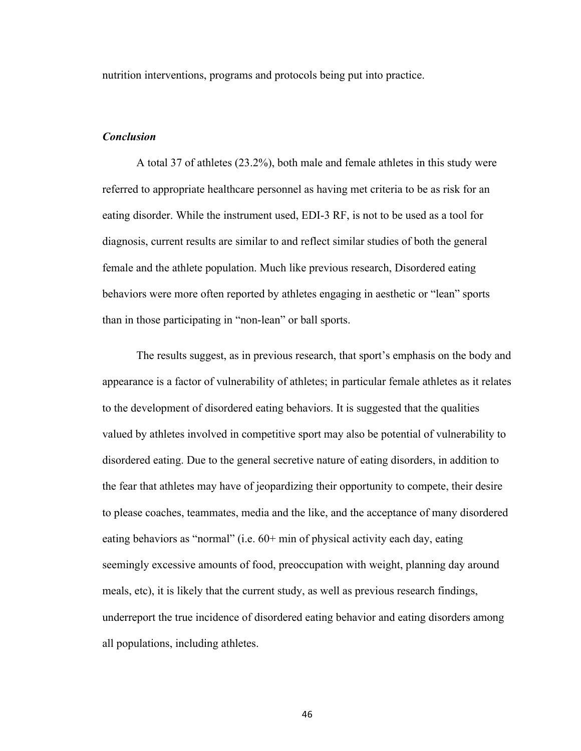nutrition interventions, programs and protocols being put into practice.

#### *Conclusion*

A total 37 of athletes (23.2%), both male and female athletes in this study were referred to appropriate healthcare personnel as having met criteria to be as risk for an eating disorder. While the instrument used, EDI-3 RF, is not to be used as a tool for diagnosis, current results are similar to and reflect similar studies of both the general female and the athlete population. Much like previous research, Disordered eating behaviors were more often reported by athletes engaging in aesthetic or "lean" sports than in those participating in "non-lean" or ball sports.

The results suggest, as in previous research, that sport's emphasis on the body and appearance is a factor of vulnerability of athletes; in particular female athletes as it relates to the development of disordered eating behaviors. It is suggested that the qualities valued by athletes involved in competitive sport may also be potential of vulnerability to disordered eating. Due to the general secretive nature of eating disorders, in addition to the fear that athletes may have of jeopardizing their opportunity to compete, their desire to please coaches, teammates, media and the like, and the acceptance of many disordered eating behaviors as "normal" (i.e.  $60+$  min of physical activity each day, eating seemingly excessive amounts of food, preoccupation with weight, planning day around meals, etc), it is likely that the current study, as well as previous research findings, underreport the true incidence of disordered eating behavior and eating disorders among all populations, including athletes.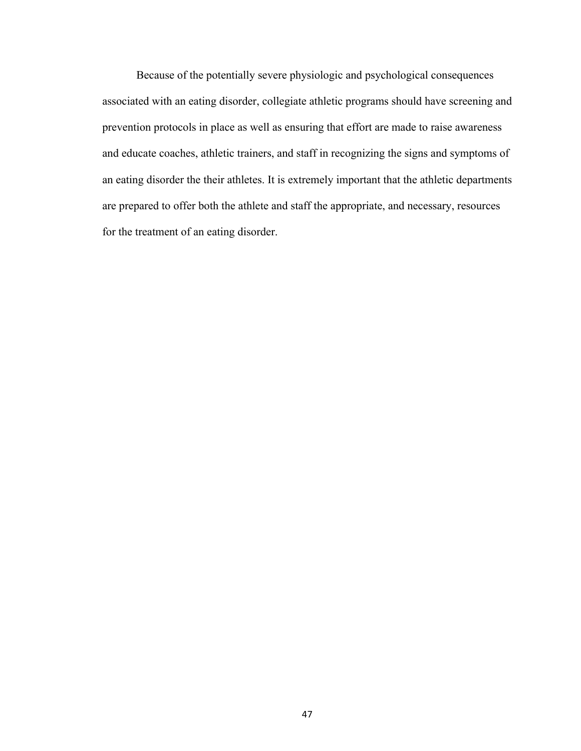Because of the potentially severe physiologic and psychological consequences associated with an eating disorder, collegiate athletic programs should have screening and prevention protocols in place as well as ensuring that effort are made to raise awareness and educate coaches, athletic trainers, and staff in recognizing the signs and symptoms of an eating disorder the their athletes. It is extremely important that the athletic departments are prepared to offer both the athlete and staff the appropriate, and necessary, resources for the treatment of an eating disorder.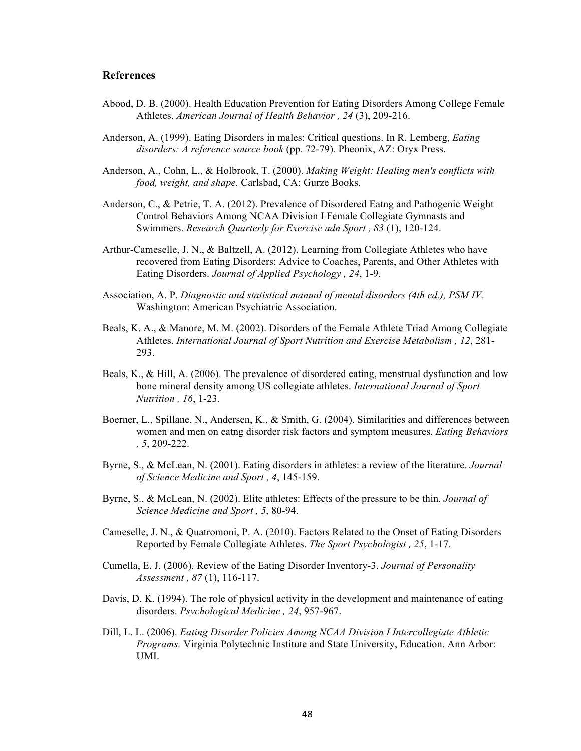#### **References**

- Abood, D. B. (2000). Health Education Prevention for Eating Disorders Among College Female Athletes. *American Journal of Health Behavior , 24* (3), 209-216.
- Anderson, A. (1999). Eating Disorders in males: Critical questions. In R. Lemberg, *Eating disorders: A reference source book* (pp. 72-79). Pheonix, AZ: Oryx Press.
- Anderson, A., Cohn, L., & Holbrook, T. (2000). *Making Weight: Healing men's conflicts with food, weight, and shape.* Carlsbad, CA: Gurze Books.
- Anderson, C., & Petrie, T. A. (2012). Prevalence of Disordered Eatng and Pathogenic Weight Control Behaviors Among NCAA Division I Female Collegiate Gymnasts and Swimmers. *Research Quarterly for Exercise adn Sport , 83* (1), 120-124.
- Arthur-Cameselle, J. N., & Baltzell, A. (2012). Learning from Collegiate Athletes who have recovered from Eating Disorders: Advice to Coaches, Parents, and Other Athletes with Eating Disorders. *Journal of Applied Psychology , 24*, 1-9.
- Association, A. P. *Diagnostic and statistical manual of mental disorders (4th ed.), PSM IV.* Washington: American Psychiatric Association.
- Beals, K. A., & Manore, M. M. (2002). Disorders of the Female Athlete Triad Among Collegiate Athletes. *International Journal of Sport Nutrition and Exercise Metabolism , 12*, 281- 293.
- Beals, K., & Hill, A. (2006). The prevalence of disordered eating, menstrual dysfunction and low bone mineral density among US collegiate athletes. *International Journal of Sport Nutrition , 16*, 1-23.
- Boerner, L., Spillane, N., Andersen, K., & Smith, G. (2004). Similarities and differences between women and men on eatng disorder risk factors and symptom measures. *Eating Behaviors , 5*, 209-222.
- Byrne, S., & McLean, N. (2001). Eating disorders in athletes: a review of the literature. *Journal of Science Medicine and Sport , 4*, 145-159.
- Byrne, S., & McLean, N. (2002). Elite athletes: Effects of the pressure to be thin. *Journal of Science Medicine and Sport , 5*, 80-94.
- Cameselle, J. N., & Quatromoni, P. A. (2010). Factors Related to the Onset of Eating Disorders Reported by Female Collegiate Athletes. *The Sport Psychologist , 25*, 1-17.
- Cumella, E. J. (2006). Review of the Eating Disorder Inventory-3. *Journal of Personality Assessment , 87* (1), 116-117.
- Davis, D. K. (1994). The role of physical activity in the development and maintenance of eating disorders. *Psychological Medicine , 24*, 957-967.
- Dill, L. L. (2006). *Eating Disorder Policies Among NCAA Division I Intercollegiate Athletic Programs.* Virginia Polytechnic Institute and State University, Education. Ann Arbor: UMI.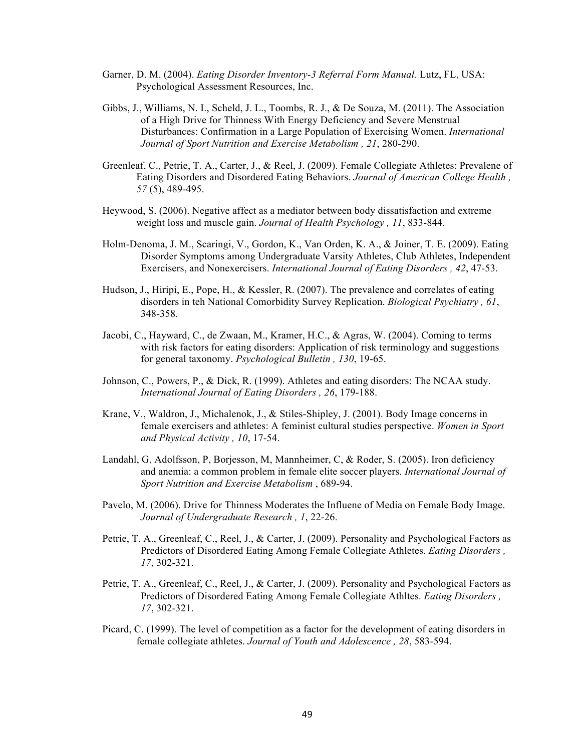- Garner, D. M. (2004). *Eating Disorder Inventory-3 Referral Form Manual.* Lutz, FL, USA: Psychological Assessment Resources, Inc.
- Gibbs, J., Williams, N. I., Scheld, J. L., Toombs, R. J., & De Souza, M. (2011). The Association of a High Drive for Thinness With Energy Deficiency and Severe Menstrual Disturbances: Confirmation in a Large Population of Exercising Women. *International Journal of Sport Nutrition and Exercise Metabolism , 21*, 280-290.
- Greenleaf, C., Petrie, T. A., Carter, J., & Reel, J. (2009). Female Collegiate Athletes: Prevalene of Eating Disorders and Disordered Eating Behaviors. *Journal of American College Health , 57* (5), 489-495.
- Heywood, S. (2006). Negative affect as a mediator between body dissatisfaction and extreme weight loss and muscle gain. *Journal of Health Psychology , 11*, 833-844.
- Holm-Denoma, J. M., Scaringi, V., Gordon, K., Van Orden, K. A., & Joiner, T. E. (2009). Eating Disorder Symptoms among Undergraduate Varsity Athletes, Club Athletes, Independent Exercisers, and Nonexercisers. *International Journal of Eating Disorders , 42*, 47-53.
- Hudson, J., Hiripi, E., Pope, H., & Kessler, R. (2007). The prevalence and correlates of eating disorders in teh National Comorbidity Survey Replication. *Biological Psychiatry , 61*, 348-358.
- Jacobi, C., Hayward, C., de Zwaan, M., Kramer, H.C., & Agras, W. (2004). Coming to terms with risk factors for eating disorders: Application of risk terminology and suggestions for general taxonomy. *Psychological Bulletin , 130*, 19-65.
- Johnson, C., Powers, P., & Dick, R. (1999). Athletes and eating disorders: The NCAA study. *International Journal of Eating Disorders , 26*, 179-188.
- Krane, V., Waldron, J., Michalenok, J., & Stiles-Shipley, J. (2001). Body Image concerns in female exercisers and athletes: A feminist cultural studies perspective. *Women in Sport and Physical Activity , 10*, 17-54.
- Landahl, G, Adolfsson, P, Borjesson, M, Mannheimer, C, & Roder, S. (2005). Iron deficiency and anemia: a common problem in female elite soccer players. *International Journal of Sport Nutrition and Exercise Metabolism* , 689-94.
- Pavelo, M. (2006). Drive for Thinness Moderates the Influene of Media on Female Body Image. *Journal of Undergraduate Research , 1*, 22-26.
- Petrie, T. A., Greenleaf, C., Reel, J., & Carter, J. (2009). Personality and Psychological Factors as Predictors of Disordered Eating Among Female Collegiate Athletes. *Eating Disorders , 17*, 302-321.
- Petrie, T. A., Greenleaf, C., Reel, J., & Carter, J. (2009). Personality and Psychological Factors as Predictors of Disordered Eating Among Female Collegiate Athltes. *Eating Disorders , 17*, 302-321.
- Picard, C. (1999). The level of competition as a factor for the development of eating disorders in female collegiate athletes. *Journal of Youth and Adolescence , 28*, 583-594.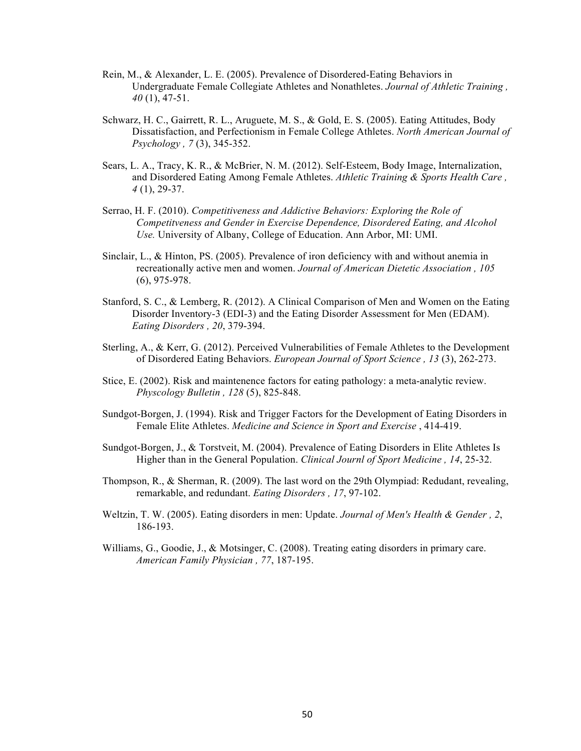- Rein, M., & Alexander, L. E. (2005). Prevalence of Disordered-Eating Behaviors in Undergraduate Female Collegiate Athletes and Nonathletes. *Journal of Athletic Training , 40* (1), 47-51.
- Schwarz, H. C., Gairrett, R. L., Aruguete, M. S., & Gold, E. S. (2005). Eating Attitudes, Body Dissatisfaction, and Perfectionism in Female College Athletes. *North American Journal of Psychology , 7* (3), 345-352.
- Sears, L. A., Tracy, K. R., & McBrier, N. M. (2012). Self-Esteem, Body Image, Internalization, and Disordered Eating Among Female Athletes. *Athletic Training & Sports Health Care , 4* (1), 29-37.
- Serrao, H. F. (2010). *Competitiveness and Addictive Behaviors: Exploring the Role of Competitveness and Gender in Exercise Dependence, Disordered Eating, and Alcohol Use.* University of Albany, College of Education. Ann Arbor, MI: UMI.
- Sinclair, L., & Hinton, PS. (2005). Prevalence of iron deficiency with and without anemia in recreationally active men and women. *Journal of American Dietetic Association , 105* (6), 975-978.
- Stanford, S. C., & Lemberg, R. (2012). A Clinical Comparison of Men and Women on the Eating Disorder Inventory-3 (EDI-3) and the Eating Disorder Assessment for Men (EDAM). *Eating Disorders , 20*, 379-394.
- Sterling, A., & Kerr, G. (2012). Perceived Vulnerabilities of Female Athletes to the Development of Disordered Eating Behaviors. *European Journal of Sport Science , 13* (3), 262-273.
- Stice, E. (2002). Risk and maintenence factors for eating pathology: a meta-analytic review. *Physcology Bulletin , 128* (5), 825-848.
- Sundgot-Borgen, J. (1994). Risk and Trigger Factors for the Development of Eating Disorders in Female Elite Athletes. *Medicine and Science in Sport and Exercise* , 414-419.
- Sundgot-Borgen, J., & Torstveit, M. (2004). Prevalence of Eating Disorders in Elite Athletes Is Higher than in the General Population. *Clinical Journl of Sport Medicine , 14*, 25-32.
- Thompson, R., & Sherman, R. (2009). The last word on the 29th Olympiad: Redudant, revealing, remarkable, and redundant. *Eating Disorders , 17*, 97-102.
- Weltzin, T. W. (2005). Eating disorders in men: Update. *Journal of Men's Health & Gender , 2*, 186-193.
- Williams, G., Goodie, J., & Motsinger, C. (2008). Treating eating disorders in primary care. *American Family Physician , 77*, 187-195.